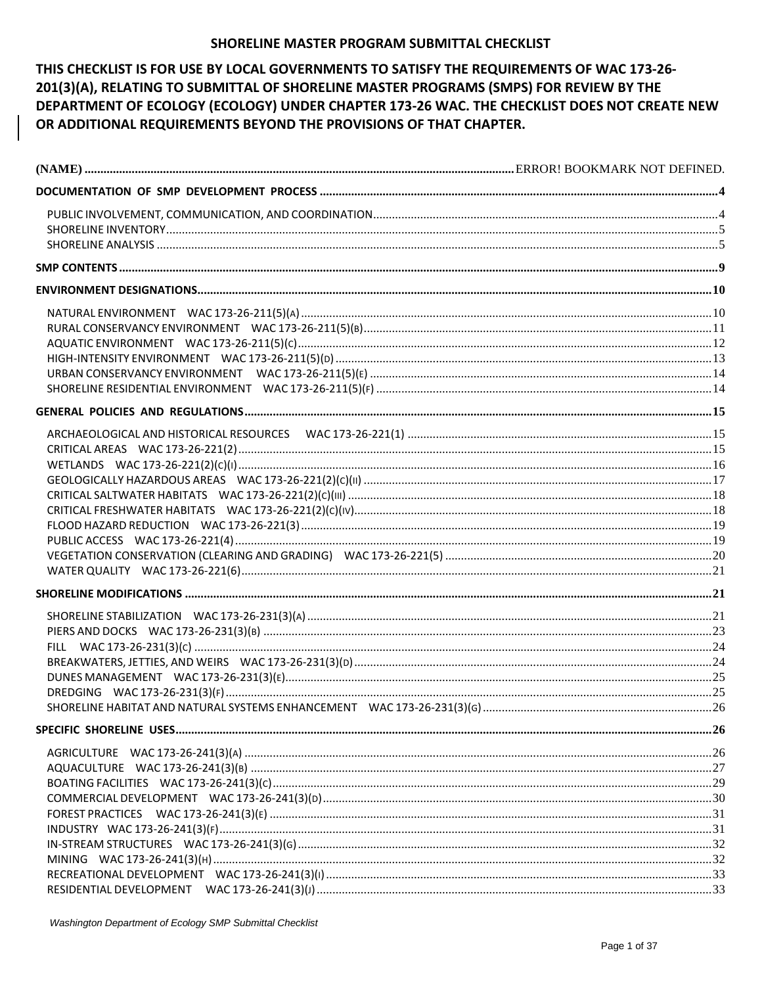### SHORELINE MASTER PROGRAM SUBMITTAL CHECKLIST

# THIS CHECKLIST IS FOR USE BY LOCAL GOVERNMENTS TO SATISFY THE REQUIREMENTS OF WAC 173-26-201(3)(A), RELATING TO SUBMITTAL OF SHORELINE MASTER PROGRAMS (SMPS) FOR REVIEW BY THE DEPARTMENT OF ECOLOGY (ECOLOGY) UNDER CHAPTER 173-26 WAC. THE CHECKLIST DOES NOT CREATE NEW OR ADDITIONAL REQUIREMENTS BEYOND THE PROVISIONS OF THAT CHAPTER.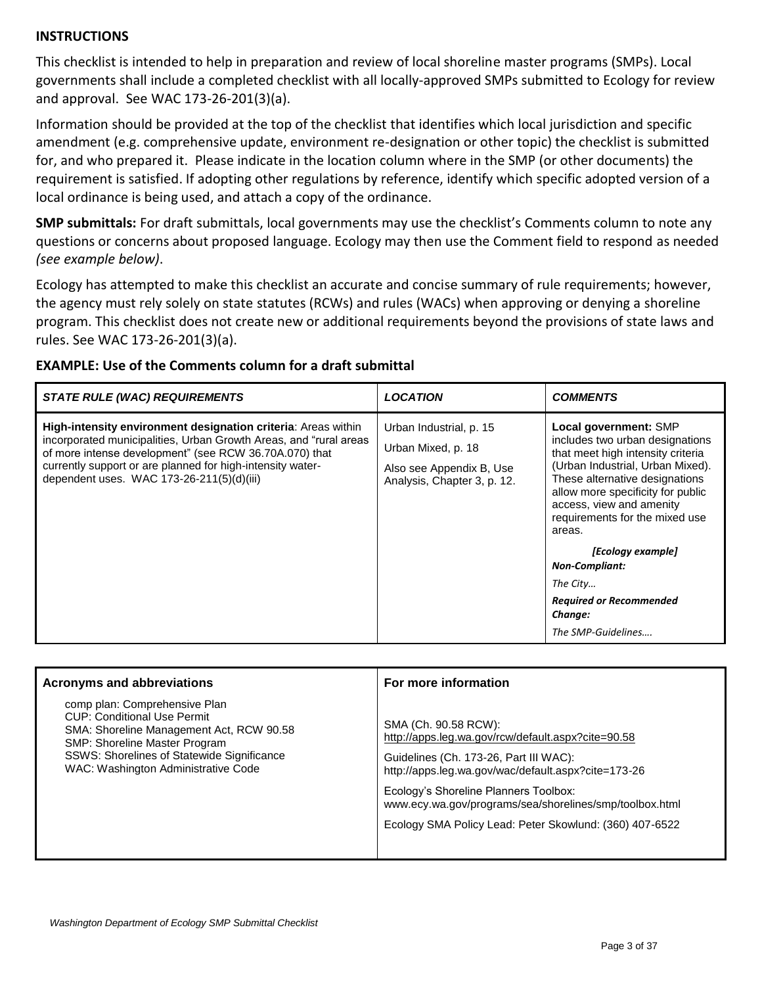## **INSTRUCTIONS**

This checklist is intended to help in preparation and review of local shoreline master programs (SMPs). Local governments shall include a completed checklist with all locally-approved SMPs submitted to Ecology for review and approval. See WAC 173-26-201(3)(a).

Information should be provided at the top of the checklist that identifies which local jurisdiction and specific amendment (e.g. comprehensive update, environment re-designation or other topic) the checklist is submitted for, and who prepared it. Please indicate in the location column where in the SMP (or other documents) the requirement is satisfied. If adopting other regulations by reference, identify which specific adopted version of a local ordinance is being used, and attach a copy of the ordinance.

**SMP submittals:** For draft submittals, local governments may use the checklist's Comments column to note any questions or concerns about proposed language. Ecology may then use the Comment field to respond as needed *(see example below)*.

Ecology has attempted to make this checklist an accurate and concise summary of rule requirements; however, the agency must rely solely on state statutes (RCWs) and rules (WACs) when approving or denying a shoreline program. This checklist does not create new or additional requirements beyond the provisions of state laws and rules. See WAC 173-26-201(3)(a).

| STATE RULE (WAC) REQUIREMENTS                                                                                                                                                                                                                                                                           | <b>LOCATION</b>                                                                                          | <b>COMMENTS</b>                                                                                                                                                                                                                                                                                                                                                              |
|---------------------------------------------------------------------------------------------------------------------------------------------------------------------------------------------------------------------------------------------------------------------------------------------------------|----------------------------------------------------------------------------------------------------------|------------------------------------------------------------------------------------------------------------------------------------------------------------------------------------------------------------------------------------------------------------------------------------------------------------------------------------------------------------------------------|
| High-intensity environment designation criteria: Areas within<br>incorporated municipalities, Urban Growth Areas, and "rural areas<br>of more intense development" (see RCW 36.70A.070) that<br>currently support or are planned for high-intensity water-<br>dependent uses. WAC 173-26-211(5)(d)(iii) | Urban Industrial, p. 15<br>Urban Mixed, p. 18<br>Also see Appendix B, Use<br>Analysis, Chapter 3, p. 12. | Local government: SMP<br>includes two urban designations<br>that meet high intensity criteria<br>(Urban Industrial, Urban Mixed).<br>These alternative designations<br>allow more specificity for public<br>access, view and amenity<br>requirements for the mixed use<br>areas.<br>[Ecology example]<br><b>Non-Compliant:</b><br>The City<br><b>Required or Recommended</b> |

# **EXAMPLE: Use of the Comments column for a draft submittal**

| <b>Acronyms and abbreviations</b>                                                                                                                                                                                                     | For more information                                                                                                                                                        |
|---------------------------------------------------------------------------------------------------------------------------------------------------------------------------------------------------------------------------------------|-----------------------------------------------------------------------------------------------------------------------------------------------------------------------------|
| comp plan: Comprehensive Plan<br><b>CUP: Conditional Use Permit</b><br>SMA: Shoreline Management Act, RCW 90.58<br>SMP: Shoreline Master Program<br>SSWS: Shorelines of Statewide Significance<br>WAC: Washington Administrative Code | SMA (Ch. 90.58 RCW):<br>http://apps.leg.wa.gov/rcw/default.aspx?cite=90.58<br>Guidelines (Ch. 173-26, Part III WAC):<br>http://apps.leg.wa.gov/wac/default.aspx?cite=173-26 |
|                                                                                                                                                                                                                                       | Ecology's Shoreline Planners Toolbox:<br>www.ecy.wa.gov/programs/sea/shorelines/smp/toolbox.html                                                                            |
|                                                                                                                                                                                                                                       | Ecology SMA Policy Lead: Peter Skowlund: (360) 407-6522                                                                                                                     |

*Change:*

*The SMP-Guidelines….*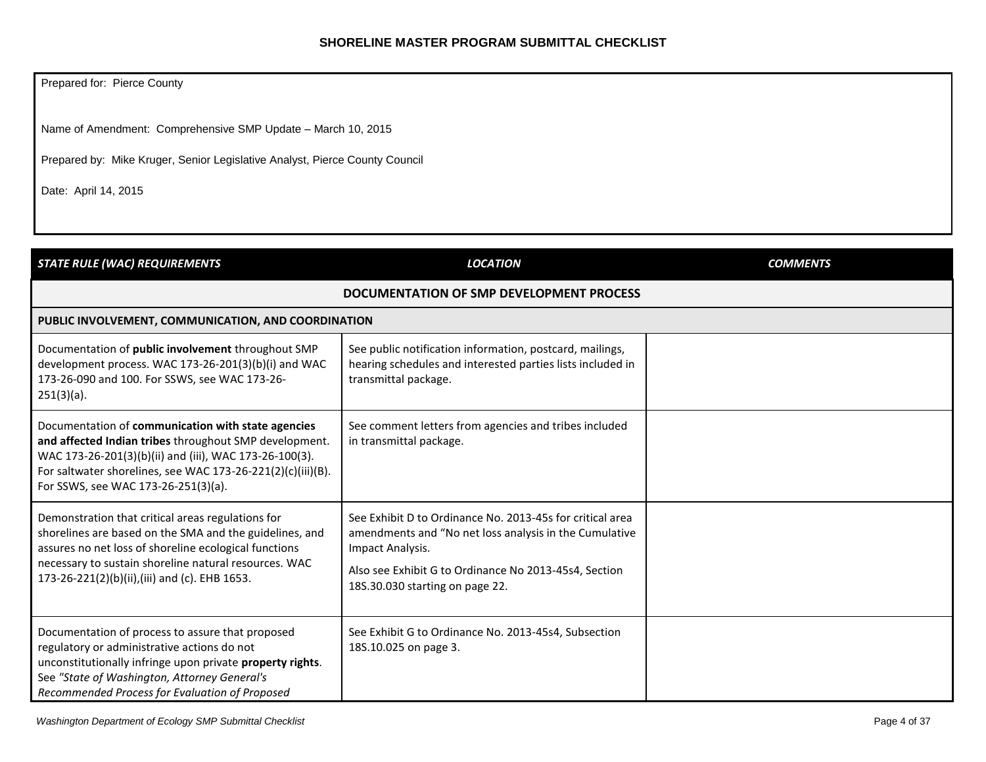### **SHORELINE MASTER PROGRAM SUBMITTAL CHECKLIST**

Prepared for: Pierce County

Name of Amendment: Comprehensive SMP Update – March 10, 2015

Prepared by: Mike Kruger, Senior Legislative Analyst, Pierce County Council

Date: April 14, 2015

<span id="page-3-1"></span><span id="page-3-0"></span>

| <b>STATE RULE (WAC) REQUIREMENTS</b>                                                                                                                                                                                                                                            | <b>LOCATION</b>                                                                                                                                                                                                                     | <b>COMMENTS</b> |
|---------------------------------------------------------------------------------------------------------------------------------------------------------------------------------------------------------------------------------------------------------------------------------|-------------------------------------------------------------------------------------------------------------------------------------------------------------------------------------------------------------------------------------|-----------------|
|                                                                                                                                                                                                                                                                                 | DOCUMENTATION OF SMP DEVELOPMENT PROCESS                                                                                                                                                                                            |                 |
| PUBLIC INVOLVEMENT, COMMUNICATION, AND COORDINATION                                                                                                                                                                                                                             |                                                                                                                                                                                                                                     |                 |
| Documentation of public involvement throughout SMP<br>development process. WAC 173-26-201(3)(b)(i) and WAC<br>173-26-090 and 100. For SSWS, see WAC 173-26-<br>$251(3)(a)$ .                                                                                                    | See public notification information, postcard, mailings,<br>hearing schedules and interested parties lists included in<br>transmittal package.                                                                                      |                 |
| Documentation of communication with state agencies<br>and affected Indian tribes throughout SMP development.<br>WAC 173-26-201(3)(b)(ii) and (iii), WAC 173-26-100(3).<br>For saltwater shorelines, see WAC 173-26-221(2)(c)(iii)(B).<br>For SSWS, see WAC 173-26-251(3)(a).    | See comment letters from agencies and tribes included<br>in transmittal package.                                                                                                                                                    |                 |
| Demonstration that critical areas regulations for<br>shorelines are based on the SMA and the guidelines, and<br>assures no net loss of shoreline ecological functions<br>necessary to sustain shoreline natural resources. WAC<br>173-26-221(2)(b)(ii),(iii) and (c). EHB 1653. | See Exhibit D to Ordinance No. 2013-45s for critical area<br>amendments and "No net loss analysis in the Cumulative<br>Impact Analysis.<br>Also see Exhibit G to Ordinance No 2013-45s4, Section<br>18S.30.030 starting on page 22. |                 |
| Documentation of process to assure that proposed<br>regulatory or administrative actions do not<br>unconstitutionally infringe upon private property rights.<br>See "State of Washington, Attorney General's<br>Recommended Process for Evaluation of Proposed                  | See Exhibit G to Ordinance No. 2013-45s4, Subsection<br>18S.10.025 on page 3.                                                                                                                                                       |                 |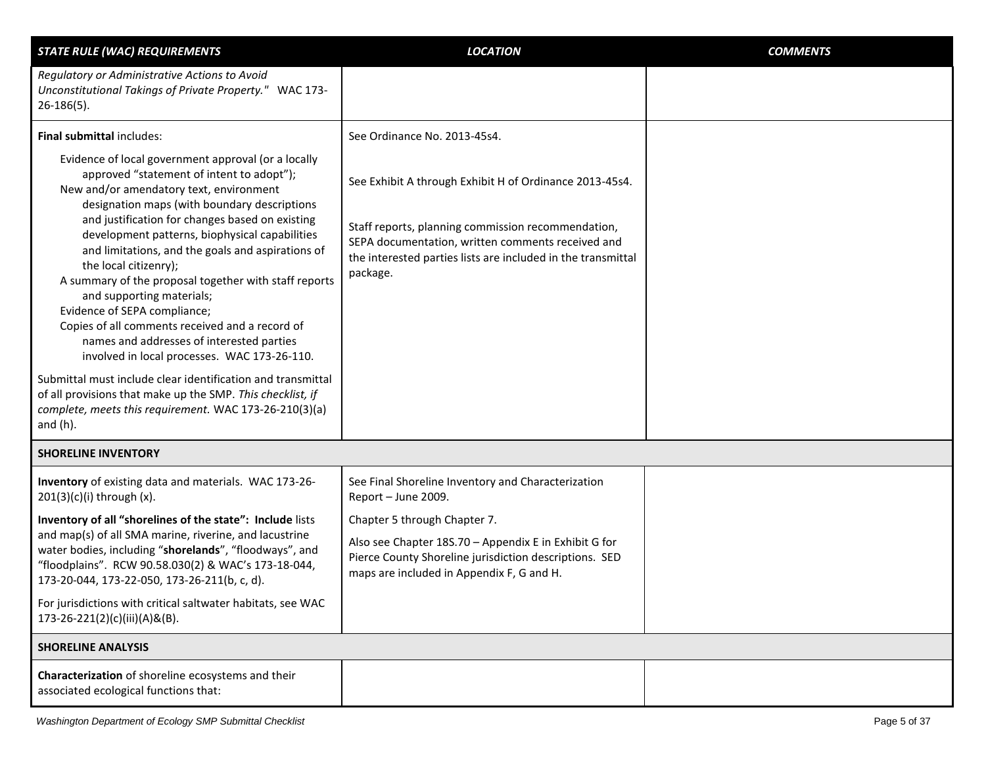<span id="page-4-1"></span><span id="page-4-0"></span>

| <b>STATE RULE (WAC) REQUIREMENTS</b>                                                                                                                                                                                                                                                                                                                                                                                                                                                                                                                                                                                                                                                                                                                                                                                                                       | <b>LOCATION</b>                                                                                                                                                                                                                                | <b>COMMENTS</b> |
|------------------------------------------------------------------------------------------------------------------------------------------------------------------------------------------------------------------------------------------------------------------------------------------------------------------------------------------------------------------------------------------------------------------------------------------------------------------------------------------------------------------------------------------------------------------------------------------------------------------------------------------------------------------------------------------------------------------------------------------------------------------------------------------------------------------------------------------------------------|------------------------------------------------------------------------------------------------------------------------------------------------------------------------------------------------------------------------------------------------|-----------------|
| Regulatory or Administrative Actions to Avoid<br>Unconstitutional Takings of Private Property." WAC 173-<br>$26-186(5)$ .                                                                                                                                                                                                                                                                                                                                                                                                                                                                                                                                                                                                                                                                                                                                  |                                                                                                                                                                                                                                                |                 |
| <b>Final submittal includes:</b>                                                                                                                                                                                                                                                                                                                                                                                                                                                                                                                                                                                                                                                                                                                                                                                                                           | See Ordinance No. 2013-45s4.                                                                                                                                                                                                                   |                 |
| Evidence of local government approval (or a locally<br>approved "statement of intent to adopt");<br>New and/or amendatory text, environment<br>designation maps (with boundary descriptions<br>and justification for changes based on existing<br>development patterns, biophysical capabilities<br>and limitations, and the goals and aspirations of<br>the local citizenry);<br>A summary of the proposal together with staff reports<br>and supporting materials;<br>Evidence of SEPA compliance;<br>Copies of all comments received and a record of<br>names and addresses of interested parties<br>involved in local processes. WAC 173-26-110.<br>Submittal must include clear identification and transmittal<br>of all provisions that make up the SMP. This checklist, if<br>complete, meets this requirement. WAC 173-26-210(3)(a)<br>and $(h)$ . | See Exhibit A through Exhibit H of Ordinance 2013-45s4.<br>Staff reports, planning commission recommendation,<br>SEPA documentation, written comments received and<br>the interested parties lists are included in the transmittal<br>package. |                 |
| <b>SHORELINE INVENTORY</b>                                                                                                                                                                                                                                                                                                                                                                                                                                                                                                                                                                                                                                                                                                                                                                                                                                 |                                                                                                                                                                                                                                                |                 |
| Inventory of existing data and materials. WAC 173-26-<br>$201(3)(c)(i)$ through $(x)$ .                                                                                                                                                                                                                                                                                                                                                                                                                                                                                                                                                                                                                                                                                                                                                                    | See Final Shoreline Inventory and Characterization<br>Report - June 2009.                                                                                                                                                                      |                 |
| Inventory of all "shorelines of the state": Include lists<br>and map(s) of all SMA marine, riverine, and lacustrine                                                                                                                                                                                                                                                                                                                                                                                                                                                                                                                                                                                                                                                                                                                                        | Chapter 5 through Chapter 7.                                                                                                                                                                                                                   |                 |
| water bodies, including "shorelands", "floodways", and<br>"floodplains". RCW 90.58.030(2) & WAC's 173-18-044,<br>173-20-044, 173-22-050, 173-26-211(b, c, d).                                                                                                                                                                                                                                                                                                                                                                                                                                                                                                                                                                                                                                                                                              | Also see Chapter 18S.70 - Appendix E in Exhibit G for<br>Pierce County Shoreline jurisdiction descriptions. SED<br>maps are included in Appendix F, G and H.                                                                                   |                 |
| For jurisdictions with critical saltwater habitats, see WAC<br>173-26-221(2)(c)(iii)(A)&(B).                                                                                                                                                                                                                                                                                                                                                                                                                                                                                                                                                                                                                                                                                                                                                               |                                                                                                                                                                                                                                                |                 |
| <b>SHORELINE ANALYSIS</b>                                                                                                                                                                                                                                                                                                                                                                                                                                                                                                                                                                                                                                                                                                                                                                                                                                  |                                                                                                                                                                                                                                                |                 |
| Characterization of shoreline ecosystems and their<br>associated ecological functions that:                                                                                                                                                                                                                                                                                                                                                                                                                                                                                                                                                                                                                                                                                                                                                                |                                                                                                                                                                                                                                                |                 |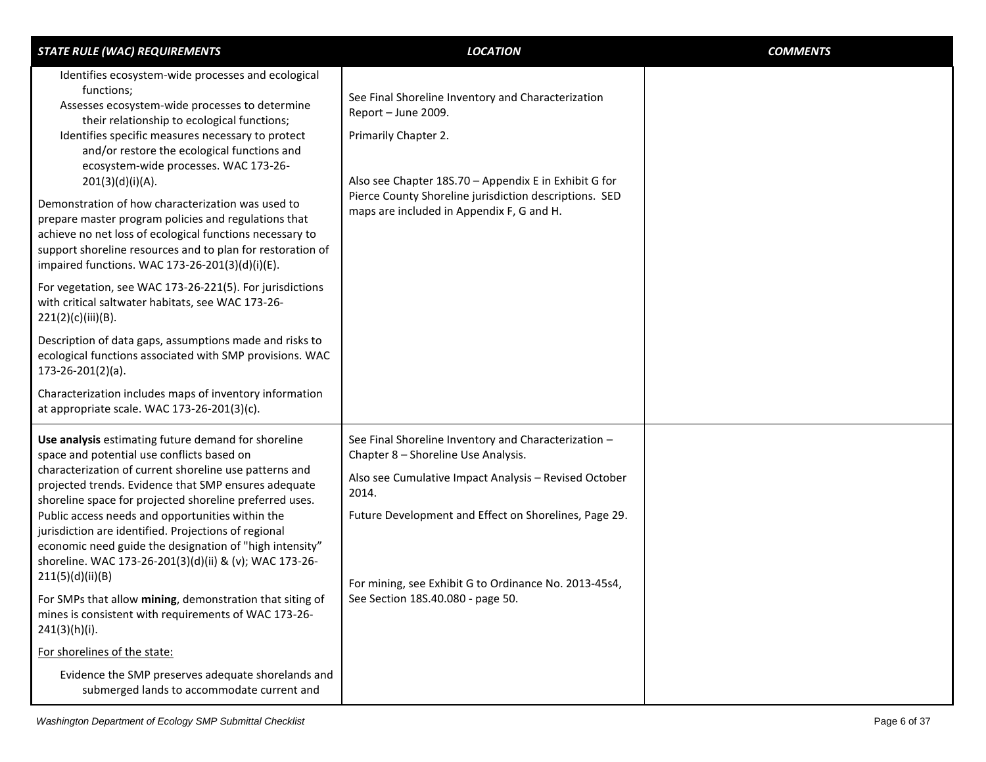| <b>STATE RULE (WAC) REQUIREMENTS</b>                                                                                                                                                                                                                                                                                                                                                                                                                                                                                                                                                                                         | <b>LOCATION</b>                                                                                                                                                                                                                                                                                                      | <b>COMMENTS</b> |
|------------------------------------------------------------------------------------------------------------------------------------------------------------------------------------------------------------------------------------------------------------------------------------------------------------------------------------------------------------------------------------------------------------------------------------------------------------------------------------------------------------------------------------------------------------------------------------------------------------------------------|----------------------------------------------------------------------------------------------------------------------------------------------------------------------------------------------------------------------------------------------------------------------------------------------------------------------|-----------------|
| Identifies ecosystem-wide processes and ecological<br>functions;<br>Assesses ecosystem-wide processes to determine<br>their relationship to ecological functions;<br>Identifies specific measures necessary to protect<br>and/or restore the ecological functions and<br>ecosystem-wide processes. WAC 173-26-<br>201(3)(d)(i)(A).<br>Demonstration of how characterization was used to<br>prepare master program policies and regulations that<br>achieve no net loss of ecological functions necessary to<br>support shoreline resources and to plan for restoration of<br>impaired functions. WAC 173-26-201(3)(d)(i)(E). | See Final Shoreline Inventory and Characterization<br>Report - June 2009.<br>Primarily Chapter 2.<br>Also see Chapter 18S.70 - Appendix E in Exhibit G for<br>Pierce County Shoreline jurisdiction descriptions. SED<br>maps are included in Appendix F, G and H.                                                    |                 |
| For vegetation, see WAC 173-26-221(5). For jurisdictions<br>with critical saltwater habitats, see WAC 173-26-<br>221(2)(c)(iii)(B).                                                                                                                                                                                                                                                                                                                                                                                                                                                                                          |                                                                                                                                                                                                                                                                                                                      |                 |
| Description of data gaps, assumptions made and risks to<br>ecological functions associated with SMP provisions. WAC<br>$173-26-201(2)(a)$ .                                                                                                                                                                                                                                                                                                                                                                                                                                                                                  |                                                                                                                                                                                                                                                                                                                      |                 |
| Characterization includes maps of inventory information<br>at appropriate scale. WAC 173-26-201(3)(c).                                                                                                                                                                                                                                                                                                                                                                                                                                                                                                                       |                                                                                                                                                                                                                                                                                                                      |                 |
| Use analysis estimating future demand for shoreline<br>space and potential use conflicts based on<br>characterization of current shoreline use patterns and<br>projected trends. Evidence that SMP ensures adequate<br>shoreline space for projected shoreline preferred uses.<br>Public access needs and opportunities within the<br>jurisdiction are identified. Projections of regional<br>economic need guide the designation of "high intensity"<br>shoreline. WAC 173-26-201(3)(d)(ii) & (v); WAC 173-26-<br>211(5)(d)(ii)(B)<br>For SMPs that allow mining, demonstration that siting of                              | See Final Shoreline Inventory and Characterization -<br>Chapter 8 - Shoreline Use Analysis.<br>Also see Cumulative Impact Analysis - Revised October<br>2014.<br>Future Development and Effect on Shorelines, Page 29.<br>For mining, see Exhibit G to Ordinance No. 2013-45s4,<br>See Section 18S.40.080 - page 50. |                 |
| mines is consistent with requirements of WAC 173-26-<br>241(3)(h)(i).                                                                                                                                                                                                                                                                                                                                                                                                                                                                                                                                                        |                                                                                                                                                                                                                                                                                                                      |                 |
| For shorelines of the state:                                                                                                                                                                                                                                                                                                                                                                                                                                                                                                                                                                                                 |                                                                                                                                                                                                                                                                                                                      |                 |
| Evidence the SMP preserves adequate shorelands and<br>submerged lands to accommodate current and                                                                                                                                                                                                                                                                                                                                                                                                                                                                                                                             |                                                                                                                                                                                                                                                                                                                      |                 |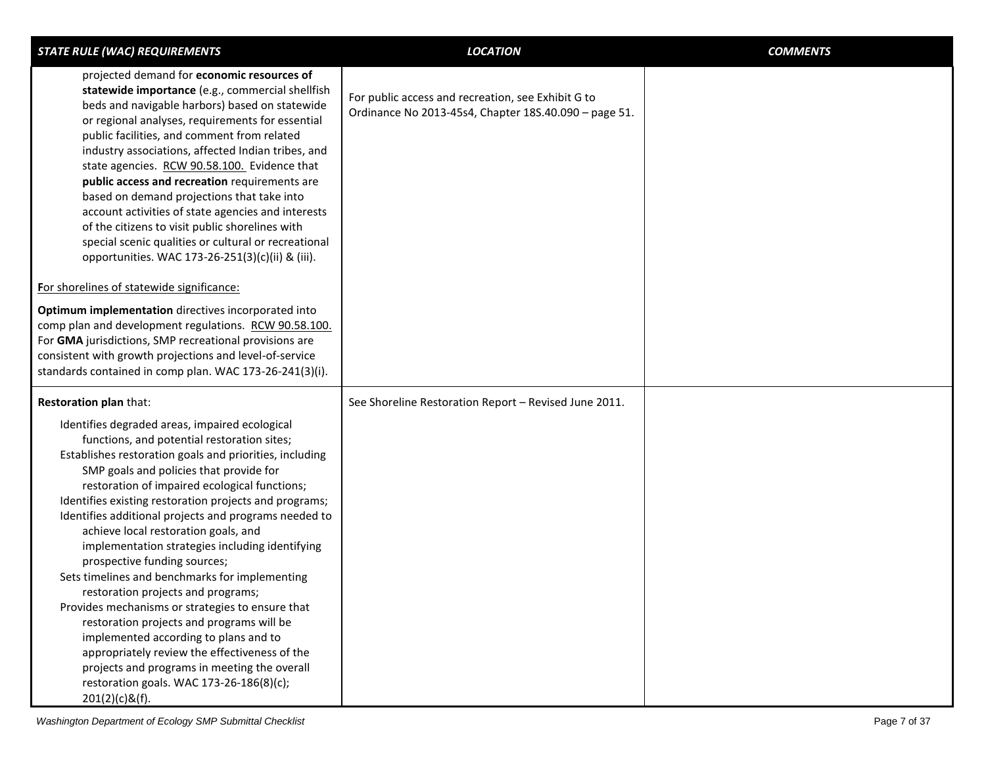| <b>STATE RULE (WAC) REQUIREMENTS</b>                                                                                                                                                                                                                                                                                                                                                                                                                                                                                                                                                                                                                                                                                                                                                                                                                                                                   | <b>LOCATION</b>                                                                                             | <b>COMMENTS</b> |
|--------------------------------------------------------------------------------------------------------------------------------------------------------------------------------------------------------------------------------------------------------------------------------------------------------------------------------------------------------------------------------------------------------------------------------------------------------------------------------------------------------------------------------------------------------------------------------------------------------------------------------------------------------------------------------------------------------------------------------------------------------------------------------------------------------------------------------------------------------------------------------------------------------|-------------------------------------------------------------------------------------------------------------|-----------------|
| projected demand for economic resources of<br>statewide importance (e.g., commercial shellfish<br>beds and navigable harbors) based on statewide<br>or regional analyses, requirements for essential<br>public facilities, and comment from related<br>industry associations, affected Indian tribes, and<br>state agencies. RCW 90.58.100. Evidence that<br>public access and recreation requirements are<br>based on demand projections that take into<br>account activities of state agencies and interests<br>of the citizens to visit public shorelines with<br>special scenic qualities or cultural or recreational<br>opportunities. WAC 173-26-251(3)(c)(ii) & (iii).                                                                                                                                                                                                                          | For public access and recreation, see Exhibit G to<br>Ordinance No 2013-45s4, Chapter 18S.40.090 - page 51. |                 |
| For shorelines of statewide significance:                                                                                                                                                                                                                                                                                                                                                                                                                                                                                                                                                                                                                                                                                                                                                                                                                                                              |                                                                                                             |                 |
| Optimum implementation directives incorporated into<br>comp plan and development regulations. RCW 90.58.100.<br>For GMA jurisdictions, SMP recreational provisions are<br>consistent with growth projections and level-of-service<br>standards contained in comp plan. WAC 173-26-241(3)(i).                                                                                                                                                                                                                                                                                                                                                                                                                                                                                                                                                                                                           |                                                                                                             |                 |
| <b>Restoration plan that:</b>                                                                                                                                                                                                                                                                                                                                                                                                                                                                                                                                                                                                                                                                                                                                                                                                                                                                          | See Shoreline Restoration Report - Revised June 2011.                                                       |                 |
| Identifies degraded areas, impaired ecological<br>functions, and potential restoration sites;<br>Establishes restoration goals and priorities, including<br>SMP goals and policies that provide for<br>restoration of impaired ecological functions;<br>Identifies existing restoration projects and programs;<br>Identifies additional projects and programs needed to<br>achieve local restoration goals, and<br>implementation strategies including identifying<br>prospective funding sources;<br>Sets timelines and benchmarks for implementing<br>restoration projects and programs;<br>Provides mechanisms or strategies to ensure that<br>restoration projects and programs will be<br>implemented according to plans and to<br>appropriately review the effectiveness of the<br>projects and programs in meeting the overall<br>restoration goals. WAC 173-26-186(8)(c);<br>$201(2)(c)$ &(f). |                                                                                                             |                 |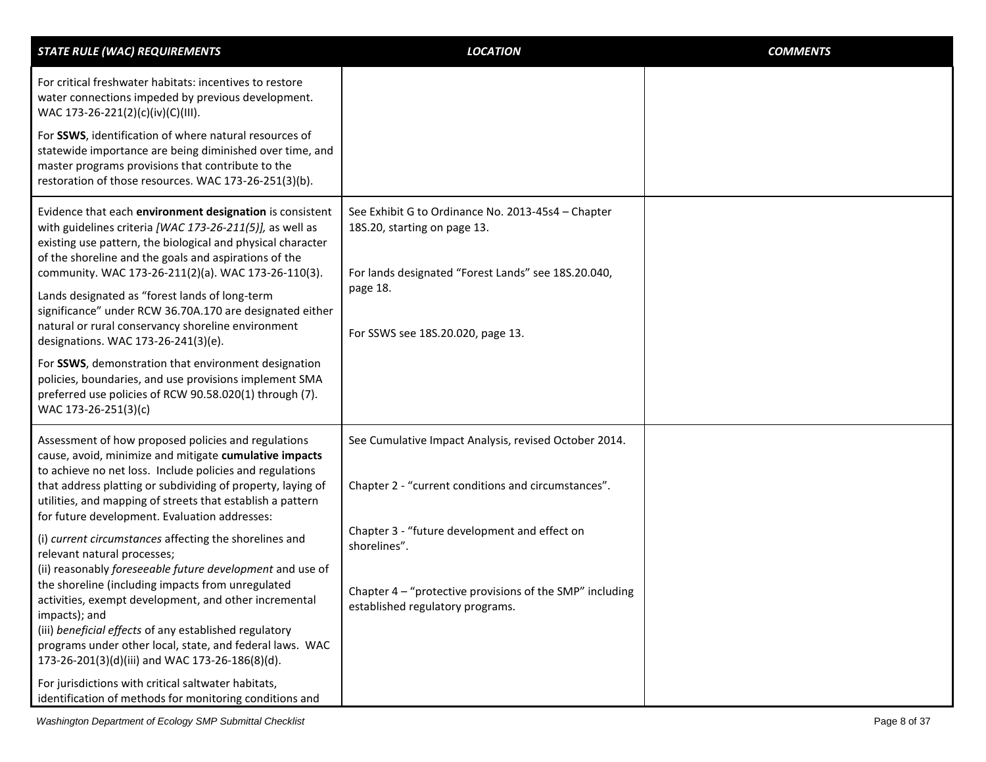| <b>STATE RULE (WAC) REQUIREMENTS</b>                                                                                                                                                                                                                                                                                                                              | <b>LOCATION</b>                                                                                                                           | <b>COMMENTS</b> |
|-------------------------------------------------------------------------------------------------------------------------------------------------------------------------------------------------------------------------------------------------------------------------------------------------------------------------------------------------------------------|-------------------------------------------------------------------------------------------------------------------------------------------|-----------------|
| For critical freshwater habitats: incentives to restore<br>water connections impeded by previous development.<br>WAC 173-26-221(2)(c)(iv)(C)(III).                                                                                                                                                                                                                |                                                                                                                                           |                 |
| For SSWS, identification of where natural resources of<br>statewide importance are being diminished over time, and<br>master programs provisions that contribute to the<br>restoration of those resources. WAC 173-26-251(3)(b).                                                                                                                                  |                                                                                                                                           |                 |
| Evidence that each environment designation is consistent<br>with guidelines criteria [WAC 173-26-211(5)], as well as<br>existing use pattern, the biological and physical character<br>of the shoreline and the goals and aspirations of the<br>community. WAC 173-26-211(2)(a). WAC 173-26-110(3).                                                               | See Exhibit G to Ordinance No. 2013-45s4 - Chapter<br>18S.20, starting on page 13.<br>For lands designated "Forest Lands" see 18S.20.040, |                 |
| Lands designated as "forest lands of long-term<br>significance" under RCW 36.70A.170 are designated either<br>natural or rural conservancy shoreline environment<br>designations. WAC 173-26-241(3)(e).                                                                                                                                                           | page 18.<br>For SSWS see 18S.20.020, page 13.                                                                                             |                 |
| For SSWS, demonstration that environment designation<br>policies, boundaries, and use provisions implement SMA<br>preferred use policies of RCW 90.58.020(1) through (7).<br>WAC 173-26-251(3)(c)                                                                                                                                                                 |                                                                                                                                           |                 |
| Assessment of how proposed policies and regulations<br>cause, avoid, minimize and mitigate cumulative impacts                                                                                                                                                                                                                                                     | See Cumulative Impact Analysis, revised October 2014.                                                                                     |                 |
| to achieve no net loss. Include policies and regulations<br>that address platting or subdividing of property, laying of<br>utilities, and mapping of streets that establish a pattern<br>for future development. Evaluation addresses:                                                                                                                            | Chapter 2 - "current conditions and circumstances".                                                                                       |                 |
| (i) current circumstances affecting the shorelines and<br>relevant natural processes;                                                                                                                                                                                                                                                                             | Chapter 3 - "future development and effect on<br>shorelines".                                                                             |                 |
| (ii) reasonably foreseeable future development and use of<br>the shoreline (including impacts from unregulated<br>activities, exempt development, and other incremental<br>impacts); and<br>(iii) beneficial effects of any established regulatory<br>programs under other local, state, and federal laws. WAC<br>173-26-201(3)(d)(iii) and WAC 173-26-186(8)(d). | Chapter 4 – "protective provisions of the SMP" including<br>established regulatory programs.                                              |                 |
| For jurisdictions with critical saltwater habitats,<br>identification of methods for monitoring conditions and                                                                                                                                                                                                                                                    |                                                                                                                                           |                 |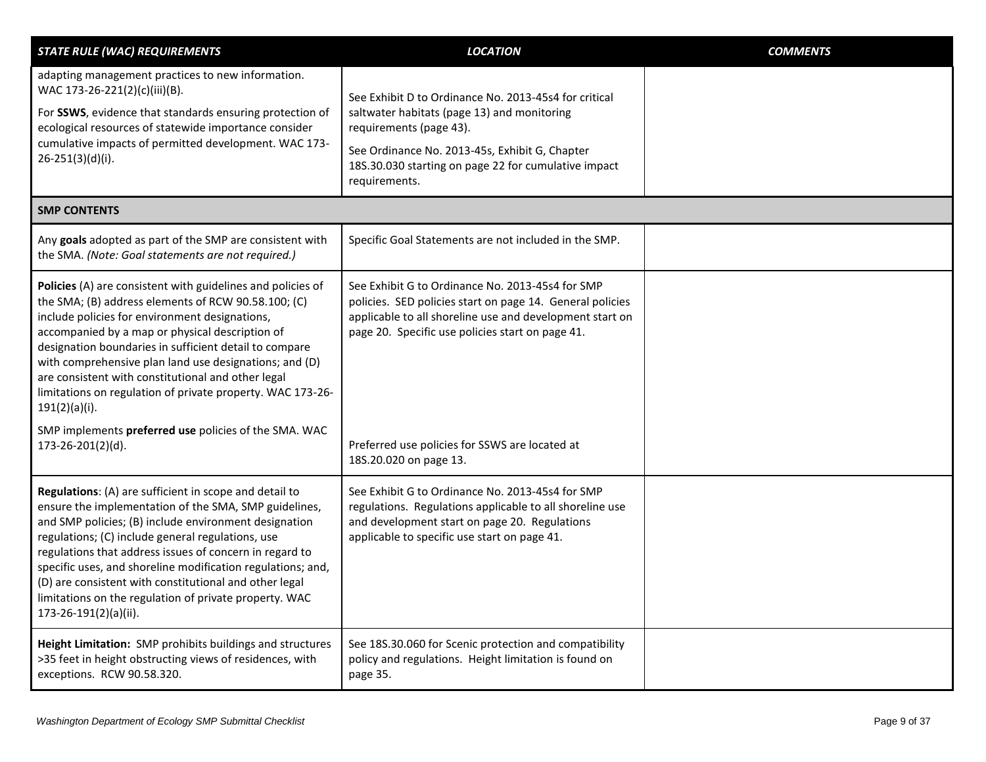<span id="page-8-0"></span>

| <b>STATE RULE (WAC) REQUIREMENTS</b>                                                                                                                                                                                                                                                                                                                                                                                                                                                                 | <b>LOCATION</b>                                                                                                                                                                                                                                            | <b>COMMENTS</b> |
|------------------------------------------------------------------------------------------------------------------------------------------------------------------------------------------------------------------------------------------------------------------------------------------------------------------------------------------------------------------------------------------------------------------------------------------------------------------------------------------------------|------------------------------------------------------------------------------------------------------------------------------------------------------------------------------------------------------------------------------------------------------------|-----------------|
| adapting management practices to new information.<br>WAC 173-26-221(2)(c)(iii)(B).<br>For SSWS, evidence that standards ensuring protection of<br>ecological resources of statewide importance consider<br>cumulative impacts of permitted development. WAC 173-<br>$26-251(3)(d)(i).$                                                                                                                                                                                                               | See Exhibit D to Ordinance No. 2013-45s4 for critical<br>saltwater habitats (page 13) and monitoring<br>requirements (page 43).<br>See Ordinance No. 2013-45s, Exhibit G, Chapter<br>18S.30.030 starting on page 22 for cumulative impact<br>requirements. |                 |
| <b>SMP CONTENTS</b>                                                                                                                                                                                                                                                                                                                                                                                                                                                                                  |                                                                                                                                                                                                                                                            |                 |
| Any goals adopted as part of the SMP are consistent with<br>the SMA. (Note: Goal statements are not required.)                                                                                                                                                                                                                                                                                                                                                                                       | Specific Goal Statements are not included in the SMP.                                                                                                                                                                                                      |                 |
| Policies (A) are consistent with guidelines and policies of<br>the SMA; (B) address elements of RCW 90.58.100; (C)<br>include policies for environment designations,<br>accompanied by a map or physical description of<br>designation boundaries in sufficient detail to compare<br>with comprehensive plan land use designations; and (D)<br>are consistent with constitutional and other legal<br>limitations on regulation of private property. WAC 173-26-<br>$191(2)(a)(i)$ .                  | See Exhibit G to Ordinance No. 2013-45s4 for SMP<br>policies. SED policies start on page 14. General policies<br>applicable to all shoreline use and development start on<br>page 20. Specific use policies start on page 41.                              |                 |
| SMP implements preferred use policies of the SMA. WAC<br>173-26-201(2)(d).                                                                                                                                                                                                                                                                                                                                                                                                                           | Preferred use policies for SSWS are located at<br>18S.20.020 on page 13.                                                                                                                                                                                   |                 |
| Regulations: (A) are sufficient in scope and detail to<br>ensure the implementation of the SMA, SMP guidelines,<br>and SMP policies; (B) include environment designation<br>regulations; (C) include general regulations, use<br>regulations that address issues of concern in regard to<br>specific uses, and shoreline modification regulations; and,<br>(D) are consistent with constitutional and other legal<br>limitations on the regulation of private property. WAC<br>173-26-191(2)(a)(ii). | See Exhibit G to Ordinance No. 2013-45s4 for SMP<br>regulations. Regulations applicable to all shoreline use<br>and development start on page 20. Regulations<br>applicable to specific use start on page 41.                                              |                 |
| Height Limitation: SMP prohibits buildings and structures<br>>35 feet in height obstructing views of residences, with<br>exceptions. RCW 90.58.320.                                                                                                                                                                                                                                                                                                                                                  | See 18S.30.060 for Scenic protection and compatibility<br>policy and regulations. Height limitation is found on<br>page 35.                                                                                                                                |                 |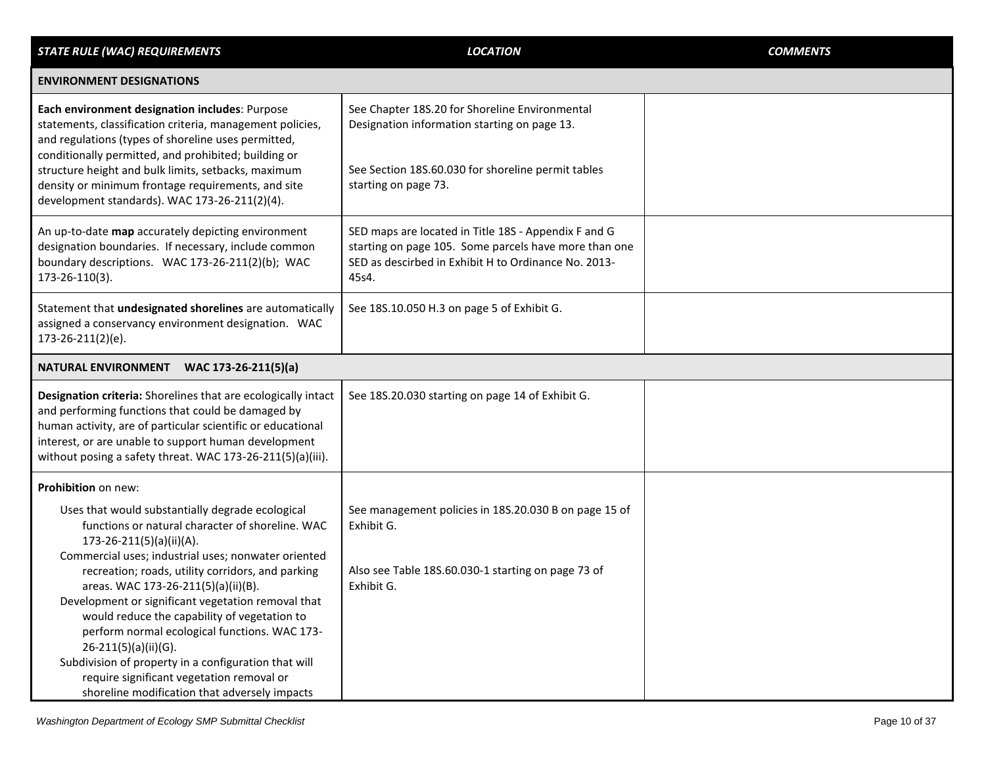<span id="page-9-1"></span><span id="page-9-0"></span>

| <b>STATE RULE (WAC) REQUIREMENTS</b>                                                                                                                                                                                                                                                                                                                                                                                                                                                                                                                                                                                       | <b>LOCATION</b>                                                                                                                                                                | <b>COMMENTS</b> |
|----------------------------------------------------------------------------------------------------------------------------------------------------------------------------------------------------------------------------------------------------------------------------------------------------------------------------------------------------------------------------------------------------------------------------------------------------------------------------------------------------------------------------------------------------------------------------------------------------------------------------|--------------------------------------------------------------------------------------------------------------------------------------------------------------------------------|-----------------|
| <b>ENVIRONMENT DESIGNATIONS</b>                                                                                                                                                                                                                                                                                                                                                                                                                                                                                                                                                                                            |                                                                                                                                                                                |                 |
| Each environment designation includes: Purpose<br>statements, classification criteria, management policies,<br>and regulations (types of shoreline uses permitted,<br>conditionally permitted, and prohibited; building or<br>structure height and bulk limits, setbacks, maximum<br>density or minimum frontage requirements, and site<br>development standards). WAC 173-26-211(2)(4).                                                                                                                                                                                                                                   | See Chapter 18S.20 for Shoreline Environmental<br>Designation information starting on page 13.<br>See Section 18S.60.030 for shoreline permit tables<br>starting on page 73.   |                 |
| An up-to-date map accurately depicting environment<br>designation boundaries. If necessary, include common<br>boundary descriptions. WAC 173-26-211(2)(b); WAC<br>173-26-110(3).                                                                                                                                                                                                                                                                                                                                                                                                                                           | SED maps are located in Title 18S - Appendix F and G<br>starting on page 105. Some parcels have more than one<br>SED as descirbed in Exhibit H to Ordinance No. 2013-<br>45s4. |                 |
| Statement that undesignated shorelines are automatically<br>assigned a conservancy environment designation. WAC<br>173-26-211(2)(e).                                                                                                                                                                                                                                                                                                                                                                                                                                                                                       | See 18S.10.050 H.3 on page 5 of Exhibit G.                                                                                                                                     |                 |
| NATURAL ENVIRONMENT WAC 173-26-211(5)(a)                                                                                                                                                                                                                                                                                                                                                                                                                                                                                                                                                                                   |                                                                                                                                                                                |                 |
| Designation criteria: Shorelines that are ecologically intact<br>and performing functions that could be damaged by<br>human activity, are of particular scientific or educational<br>interest, or are unable to support human development<br>without posing a safety threat. WAC 173-26-211(5)(a)(iii).                                                                                                                                                                                                                                                                                                                    | See 18S.20.030 starting on page 14 of Exhibit G.                                                                                                                               |                 |
| Prohibition on new:                                                                                                                                                                                                                                                                                                                                                                                                                                                                                                                                                                                                        |                                                                                                                                                                                |                 |
| Uses that would substantially degrade ecological<br>functions or natural character of shoreline. WAC<br>$173-26-211(5)(a)(ii)(A).$<br>Commercial uses; industrial uses; nonwater oriented<br>recreation; roads, utility corridors, and parking<br>areas. WAC 173-26-211(5)(a)(ii)(B).<br>Development or significant vegetation removal that<br>would reduce the capability of vegetation to<br>perform normal ecological functions. WAC 173-<br>26-211(5)(a)(ii)(G).<br>Subdivision of property in a configuration that will<br>require significant vegetation removal or<br>shoreline modification that adversely impacts | See management policies in 18S.20.030 B on page 15 of<br>Exhibit G.<br>Also see Table 18S.60.030-1 starting on page 73 of<br>Exhibit G.                                        |                 |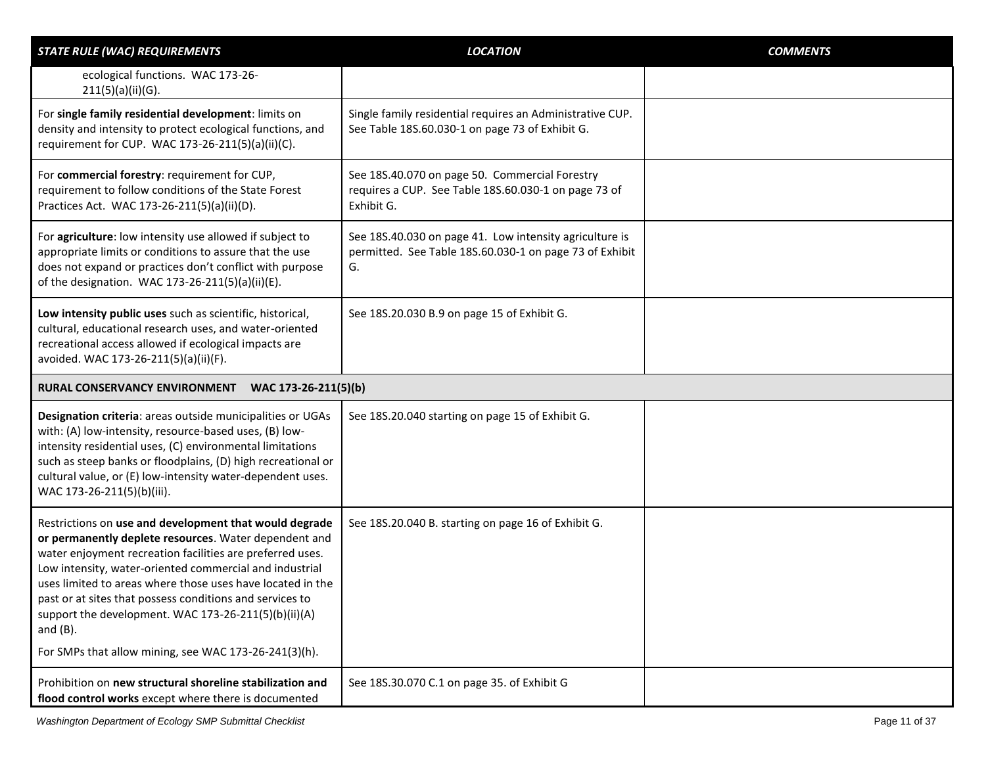<span id="page-10-0"></span>

| <b>STATE RULE (WAC) REQUIREMENTS</b>                                                                                                                                                                                                                                                                                                                                                                                                                                                              | <b>LOCATION</b>                                                                                                          | <b>COMMENTS</b> |
|---------------------------------------------------------------------------------------------------------------------------------------------------------------------------------------------------------------------------------------------------------------------------------------------------------------------------------------------------------------------------------------------------------------------------------------------------------------------------------------------------|--------------------------------------------------------------------------------------------------------------------------|-----------------|
| ecological functions. WAC 173-26-<br>211(5)(a)(ii)(G).                                                                                                                                                                                                                                                                                                                                                                                                                                            |                                                                                                                          |                 |
| For single family residential development: limits on<br>density and intensity to protect ecological functions, and<br>requirement for CUP. WAC 173-26-211(5)(a)(ii)(C).                                                                                                                                                                                                                                                                                                                           | Single family residential requires an Administrative CUP.<br>See Table 18S.60.030-1 on page 73 of Exhibit G.             |                 |
| For commercial forestry: requirement for CUP,<br>requirement to follow conditions of the State Forest<br>Practices Act. WAC 173-26-211(5)(a)(ii)(D).                                                                                                                                                                                                                                                                                                                                              | See 18S.40.070 on page 50. Commercial Forestry<br>requires a CUP. See Table 18S.60.030-1 on page 73 of<br>Exhibit G.     |                 |
| For agriculture: low intensity use allowed if subject to<br>appropriate limits or conditions to assure that the use<br>does not expand or practices don't conflict with purpose<br>of the designation. WAC 173-26-211(5)(a)(ii)(E).                                                                                                                                                                                                                                                               | See 18S.40.030 on page 41. Low intensity agriculture is<br>permitted. See Table 18S.60.030-1 on page 73 of Exhibit<br>G. |                 |
| Low intensity public uses such as scientific, historical,<br>cultural, educational research uses, and water-oriented<br>recreational access allowed if ecological impacts are<br>avoided. WAC 173-26-211(5)(a)(ii)(F).                                                                                                                                                                                                                                                                            | See 18S.20.030 B.9 on page 15 of Exhibit G.                                                                              |                 |
| RURAL CONSERVANCY ENVIRONMENT<br>WAC 173-26-211(5)(b)                                                                                                                                                                                                                                                                                                                                                                                                                                             |                                                                                                                          |                 |
| Designation criteria: areas outside municipalities or UGAs<br>with: (A) low-intensity, resource-based uses, (B) low-<br>intensity residential uses, (C) environmental limitations<br>such as steep banks or floodplains, (D) high recreational or<br>cultural value, or (E) low-intensity water-dependent uses.<br>WAC 173-26-211(5)(b)(iii).                                                                                                                                                     | See 18S.20.040 starting on page 15 of Exhibit G.                                                                         |                 |
| Restrictions on use and development that would degrade<br>or permanently deplete resources. Water dependent and<br>water enjoyment recreation facilities are preferred uses.<br>Low intensity, water-oriented commercial and industrial<br>uses limited to areas where those uses have located in the<br>past or at sites that possess conditions and services to<br>support the development. WAC 173-26-211(5)(b)(ii)(A)<br>and $(B)$ .<br>For SMPs that allow mining, see WAC 173-26-241(3)(h). | See 18S.20.040 B. starting on page 16 of Exhibit G.                                                                      |                 |
| Prohibition on new structural shoreline stabilization and<br>flood control works except where there is documented                                                                                                                                                                                                                                                                                                                                                                                 | See 18S.30.070 C.1 on page 35. of Exhibit G                                                                              |                 |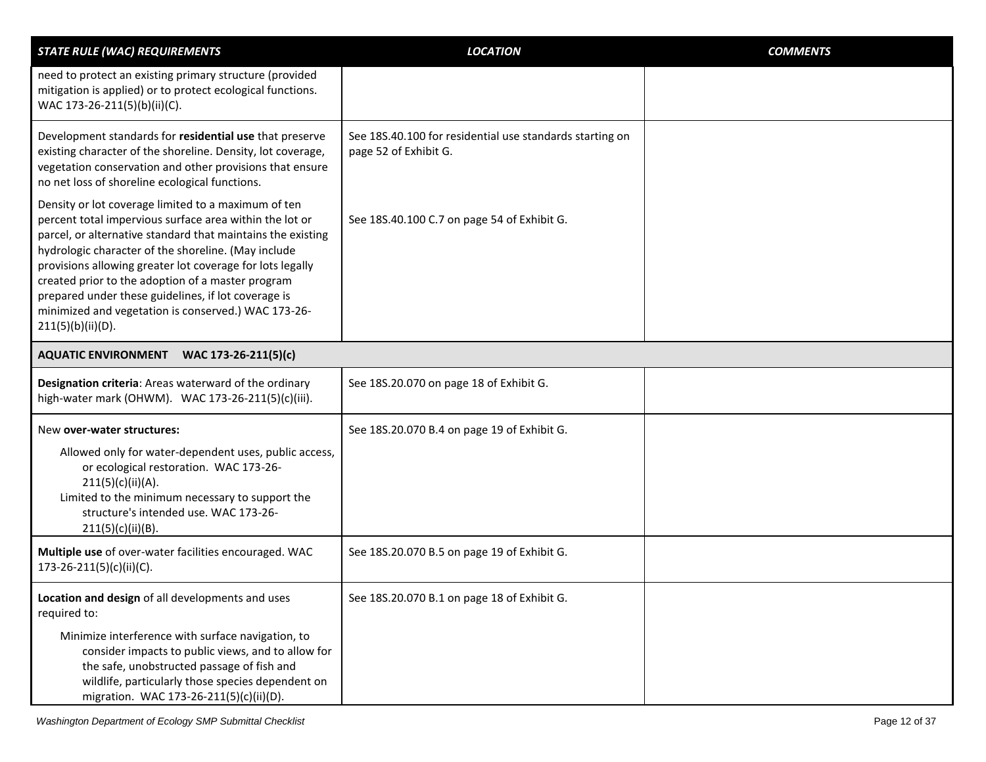<span id="page-11-0"></span>

| <b>STATE RULE (WAC) REQUIREMENTS</b>                                                                                                                                                                                                                                                                                                                                                                                                                                                      | <b>LOCATION</b>                                                                   | <b>COMMENTS</b> |
|-------------------------------------------------------------------------------------------------------------------------------------------------------------------------------------------------------------------------------------------------------------------------------------------------------------------------------------------------------------------------------------------------------------------------------------------------------------------------------------------|-----------------------------------------------------------------------------------|-----------------|
| need to protect an existing primary structure (provided<br>mitigation is applied) or to protect ecological functions.<br>WAC 173-26-211(5)(b)(ii)(C).                                                                                                                                                                                                                                                                                                                                     |                                                                                   |                 |
| Development standards for residential use that preserve<br>existing character of the shoreline. Density, lot coverage,<br>vegetation conservation and other provisions that ensure<br>no net loss of shoreline ecological functions.                                                                                                                                                                                                                                                      | See 18S.40.100 for residential use standards starting on<br>page 52 of Exhibit G. |                 |
| Density or lot coverage limited to a maximum of ten<br>percent total impervious surface area within the lot or<br>parcel, or alternative standard that maintains the existing<br>hydrologic character of the shoreline. (May include<br>provisions allowing greater lot coverage for lots legally<br>created prior to the adoption of a master program<br>prepared under these guidelines, if lot coverage is<br>minimized and vegetation is conserved.) WAC 173-26-<br>211(5)(b)(ii)(D). | See 18S.40.100 C.7 on page 54 of Exhibit G.                                       |                 |
| AQUATIC ENVIRONMENT WAC 173-26-211(5)(c)                                                                                                                                                                                                                                                                                                                                                                                                                                                  |                                                                                   |                 |
| Designation criteria: Areas waterward of the ordinary<br>high-water mark (OHWM). WAC 173-26-211(5)(c)(iii).                                                                                                                                                                                                                                                                                                                                                                               | See 18S.20.070 on page 18 of Exhibit G.                                           |                 |
| New over-water structures:<br>Allowed only for water-dependent uses, public access,<br>or ecological restoration. WAC 173-26-<br>211(5)(c)(ii)(A).<br>Limited to the minimum necessary to support the<br>structure's intended use. WAC 173-26-<br>211(5)(c)(ii)(B).                                                                                                                                                                                                                       | See 18S.20.070 B.4 on page 19 of Exhibit G.                                       |                 |
| Multiple use of over-water facilities encouraged. WAC<br>173-26-211(5)(c)(ii)(C).                                                                                                                                                                                                                                                                                                                                                                                                         | See 18S.20.070 B.5 on page 19 of Exhibit G.                                       |                 |
| Location and design of all developments and uses<br>required to:<br>Minimize interference with surface navigation, to<br>consider impacts to public views, and to allow for<br>the safe, unobstructed passage of fish and<br>wildlife, particularly those species dependent on<br>migration. WAC 173-26-211(5)(c)(ii)(D).                                                                                                                                                                 | See 18S.20.070 B.1 on page 18 of Exhibit G.                                       |                 |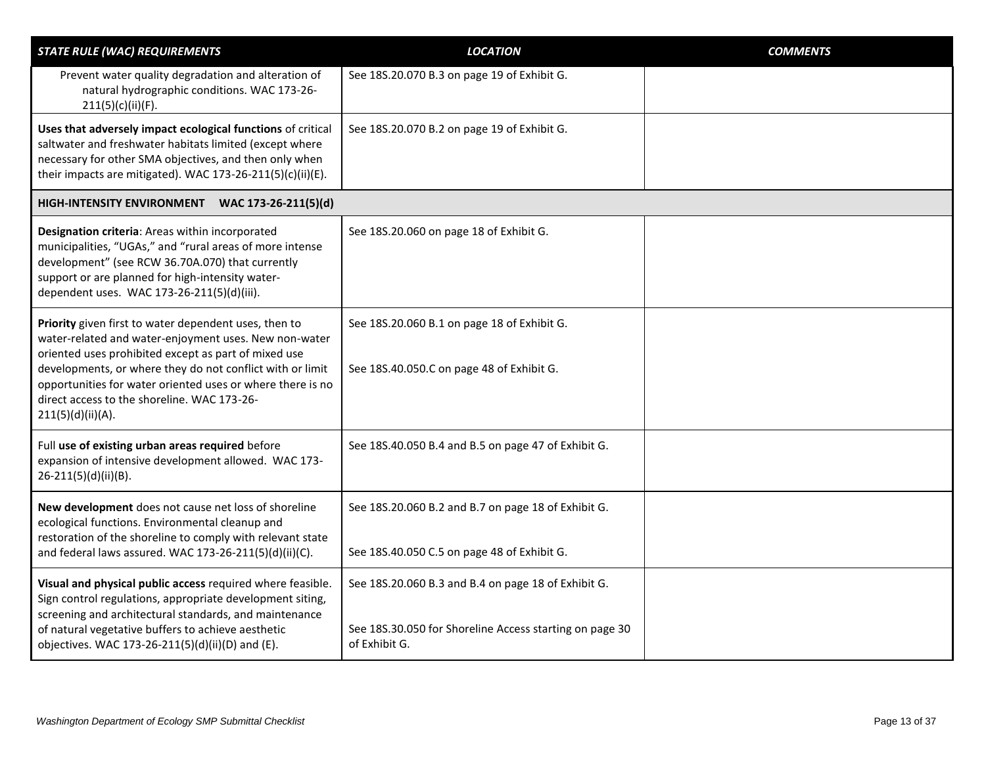<span id="page-12-0"></span>

| <b>STATE RULE (WAC) REQUIREMENTS</b>                                                                                                                                                                                                                                                                                                                                  | <b>LOCATION</b>                                                                                                                 | <b>COMMENTS</b> |
|-----------------------------------------------------------------------------------------------------------------------------------------------------------------------------------------------------------------------------------------------------------------------------------------------------------------------------------------------------------------------|---------------------------------------------------------------------------------------------------------------------------------|-----------------|
| Prevent water quality degradation and alteration of<br>natural hydrographic conditions. WAC 173-26-<br>211(5)(c)(ii)(F).                                                                                                                                                                                                                                              | See 18S.20.070 B.3 on page 19 of Exhibit G.                                                                                     |                 |
| Uses that adversely impact ecological functions of critical<br>saltwater and freshwater habitats limited (except where<br>necessary for other SMA objectives, and then only when<br>their impacts are mitigated). WAC 173-26-211(5)(c)(ii)(E).                                                                                                                        | See 18S.20.070 B.2 on page 19 of Exhibit G.                                                                                     |                 |
| HIGH-INTENSITY ENVIRONMENT WAC 173-26-211(5)(d)                                                                                                                                                                                                                                                                                                                       |                                                                                                                                 |                 |
| Designation criteria: Areas within incorporated<br>municipalities, "UGAs," and "rural areas of more intense<br>development" (see RCW 36.70A.070) that currently<br>support or are planned for high-intensity water-<br>dependent uses. WAC 173-26-211(5)(d)(iii).                                                                                                     | See 18S.20.060 on page 18 of Exhibit G.                                                                                         |                 |
| Priority given first to water dependent uses, then to<br>water-related and water-enjoyment uses. New non-water<br>oriented uses prohibited except as part of mixed use<br>developments, or where they do not conflict with or limit<br>opportunities for water oriented uses or where there is no<br>direct access to the shoreline. WAC 173-26-<br>211(5)(d)(ii)(A). | See 18S.20.060 B.1 on page 18 of Exhibit G.<br>See 18S.40.050.C on page 48 of Exhibit G.                                        |                 |
| Full use of existing urban areas required before<br>expansion of intensive development allowed. WAC 173-<br>26-211(5)(d)(ii)(B).                                                                                                                                                                                                                                      | See 18S.40.050 B.4 and B.5 on page 47 of Exhibit G.                                                                             |                 |
| New development does not cause net loss of shoreline<br>ecological functions. Environmental cleanup and<br>restoration of the shoreline to comply with relevant state<br>and federal laws assured. WAC 173-26-211(5)(d)(ii)(C).                                                                                                                                       | See 18S.20.060 B.2 and B.7 on page 18 of Exhibit G.<br>See 18S.40.050 C.5 on page 48 of Exhibit G.                              |                 |
| Visual and physical public access required where feasible.<br>Sign control regulations, appropriate development siting,<br>screening and architectural standards, and maintenance<br>of natural vegetative buffers to achieve aesthetic<br>objectives. WAC 173-26-211(5)(d)(ii)(D) and (E).                                                                           | See 18S.20.060 B.3 and B.4 on page 18 of Exhibit G.<br>See 18S.30.050 for Shoreline Access starting on page 30<br>of Exhibit G. |                 |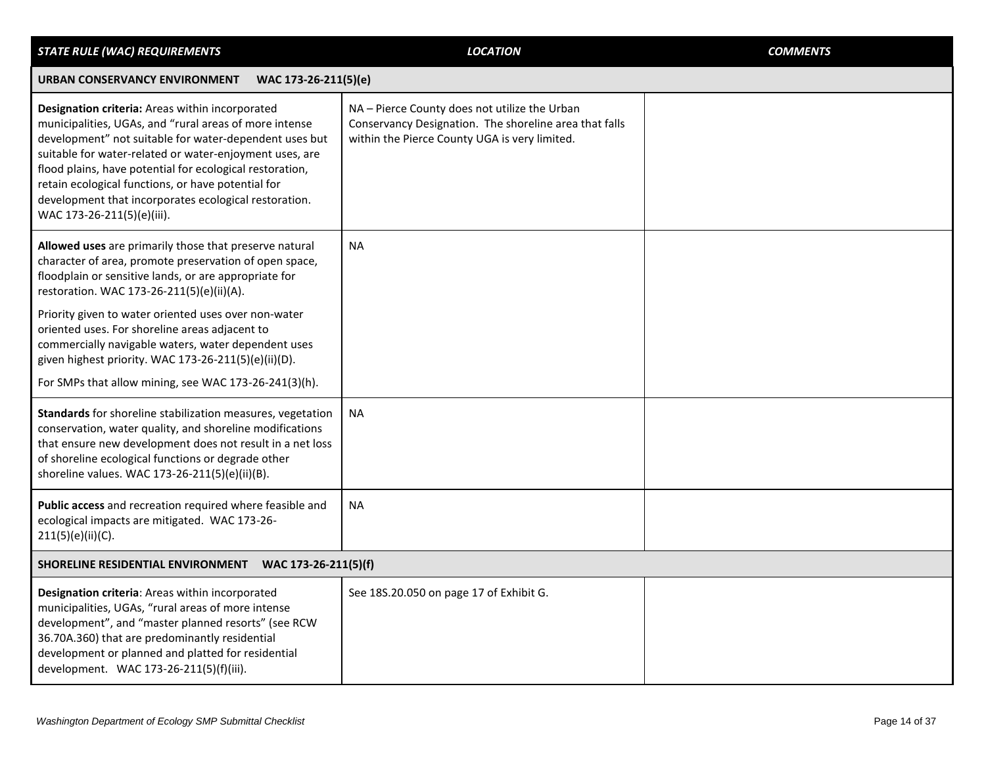<span id="page-13-1"></span><span id="page-13-0"></span>

| <b>STATE RULE (WAC) REQUIREMENTS</b>                                                                                                                                                                                                                                                                                                                                                                                                    | <b>LOCATION</b>                                                                                                                                          | <b>COMMENTS</b> |
|-----------------------------------------------------------------------------------------------------------------------------------------------------------------------------------------------------------------------------------------------------------------------------------------------------------------------------------------------------------------------------------------------------------------------------------------|----------------------------------------------------------------------------------------------------------------------------------------------------------|-----------------|
| <b>URBAN CONSERVANCY ENVIRONMENT</b><br>WAC 173-26-211(5)(e)                                                                                                                                                                                                                                                                                                                                                                            |                                                                                                                                                          |                 |
| Designation criteria: Areas within incorporated<br>municipalities, UGAs, and "rural areas of more intense<br>development" not suitable for water-dependent uses but<br>suitable for water-related or water-enjoyment uses, are<br>flood plains, have potential for ecological restoration,<br>retain ecological functions, or have potential for<br>development that incorporates ecological restoration.<br>WAC 173-26-211(5)(e)(iii). | NA - Pierce County does not utilize the Urban<br>Conservancy Designation. The shoreline area that falls<br>within the Pierce County UGA is very limited. |                 |
| Allowed uses are primarily those that preserve natural<br>character of area, promote preservation of open space,<br>floodplain or sensitive lands, or are appropriate for<br>restoration. WAC 173-26-211(5)(e)(ii)(A).                                                                                                                                                                                                                  | <b>NA</b>                                                                                                                                                |                 |
| Priority given to water oriented uses over non-water<br>oriented uses. For shoreline areas adjacent to<br>commercially navigable waters, water dependent uses<br>given highest priority. WAC 173-26-211(5)(e)(ii)(D).<br>For SMPs that allow mining, see WAC 173-26-241(3)(h).                                                                                                                                                          |                                                                                                                                                          |                 |
| Standards for shoreline stabilization measures, vegetation<br>conservation, water quality, and shoreline modifications<br>that ensure new development does not result in a net loss<br>of shoreline ecological functions or degrade other<br>shoreline values. WAC 173-26-211(5)(e)(ii)(B).                                                                                                                                             | <b>NA</b>                                                                                                                                                |                 |
| Public access and recreation required where feasible and<br>ecological impacts are mitigated. WAC 173-26-<br>$211(5)(e)(ii)(C)$ .                                                                                                                                                                                                                                                                                                       | NА                                                                                                                                                       |                 |
| SHORELINE RESIDENTIAL ENVIRONMENT WAC 173-26-211(5)(f)                                                                                                                                                                                                                                                                                                                                                                                  |                                                                                                                                                          |                 |
| Designation criteria: Areas within incorporated<br>municipalities, UGAs, "rural areas of more intense<br>development", and "master planned resorts" (see RCW<br>36.70A.360) that are predominantly residential<br>development or planned and platted for residential<br>development. WAC 173-26-211(5)(f)(iii).                                                                                                                         | See 18S.20.050 on page 17 of Exhibit G.                                                                                                                  |                 |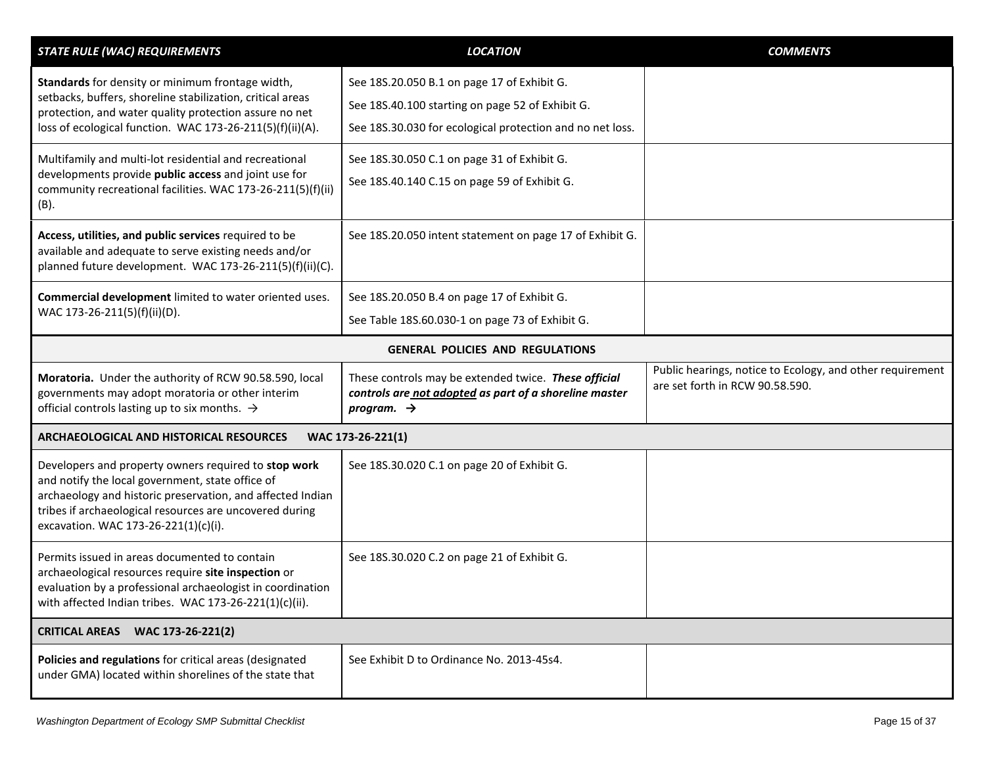<span id="page-14-2"></span><span id="page-14-1"></span><span id="page-14-0"></span>

| <b>STATE RULE (WAC) REQUIREMENTS</b>                                                                                                                                                                                                                                      | <b>LOCATION</b>                                                                                                                                              | <b>COMMENTS</b>                                                                              |
|---------------------------------------------------------------------------------------------------------------------------------------------------------------------------------------------------------------------------------------------------------------------------|--------------------------------------------------------------------------------------------------------------------------------------------------------------|----------------------------------------------------------------------------------------------|
| Standards for density or minimum frontage width,<br>setbacks, buffers, shoreline stabilization, critical areas<br>protection, and water quality protection assure no net<br>loss of ecological function. WAC 173-26-211(5)(f)(ii)(A).                                     | See 18S.20.050 B.1 on page 17 of Exhibit G.<br>See 18S.40.100 starting on page 52 of Exhibit G.<br>See 18S.30.030 for ecological protection and no net loss. |                                                                                              |
| Multifamily and multi-lot residential and recreational<br>developments provide public access and joint use for<br>community recreational facilities. WAC 173-26-211(5)(f)(ii)<br>$(B)$ .                                                                                  | See 18S.30.050 C.1 on page 31 of Exhibit G.<br>See 18S.40.140 C.15 on page 59 of Exhibit G.                                                                  |                                                                                              |
| Access, utilities, and public services required to be<br>available and adequate to serve existing needs and/or<br>planned future development. WAC 173-26-211(5)(f)(ii)(C).                                                                                                | See 18S.20.050 intent statement on page 17 of Exhibit G.                                                                                                     |                                                                                              |
| Commercial development limited to water oriented uses.<br>WAC 173-26-211(5)(f)(ii)(D).                                                                                                                                                                                    | See 18S.20.050 B.4 on page 17 of Exhibit G.<br>See Table 18S.60.030-1 on page 73 of Exhibit G.                                                               |                                                                                              |
| <b>GENERAL POLICIES AND REGULATIONS</b>                                                                                                                                                                                                                                   |                                                                                                                                                              |                                                                                              |
| Moratoria. Under the authority of RCW 90.58.590, local<br>governments may adopt moratoria or other interim<br>official controls lasting up to six months. $\rightarrow$                                                                                                   | These controls may be extended twice. These official<br>controls are not adopted as part of a shoreline master<br>program. $\rightarrow$                     | Public hearings, notice to Ecology, and other requirement<br>are set forth in RCW 90.58.590. |
| <b>ARCHAEOLOGICAL AND HISTORICAL RESOURCES</b>                                                                                                                                                                                                                            | WAC 173-26-221(1)                                                                                                                                            |                                                                                              |
| Developers and property owners required to stop work<br>and notify the local government, state office of<br>archaeology and historic preservation, and affected Indian<br>tribes if archaeological resources are uncovered during<br>excavation. WAC 173-26-221(1)(c)(i). | See 18S.30.020 C.1 on page 20 of Exhibit G.                                                                                                                  |                                                                                              |
| Permits issued in areas documented to contain<br>archaeological resources require site inspection or<br>evaluation by a professional archaeologist in coordination<br>with affected Indian tribes. WAC 173-26-221(1)(c)(ii).                                              | See 18S.30.020 C.2 on page 21 of Exhibit G.                                                                                                                  |                                                                                              |
| <b>CRITICAL AREAS WAC 173-26-221(2)</b>                                                                                                                                                                                                                                   |                                                                                                                                                              |                                                                                              |
| Policies and regulations for critical areas (designated<br>under GMA) located within shorelines of the state that                                                                                                                                                         | See Exhibit D to Ordinance No. 2013-45s4.                                                                                                                    |                                                                                              |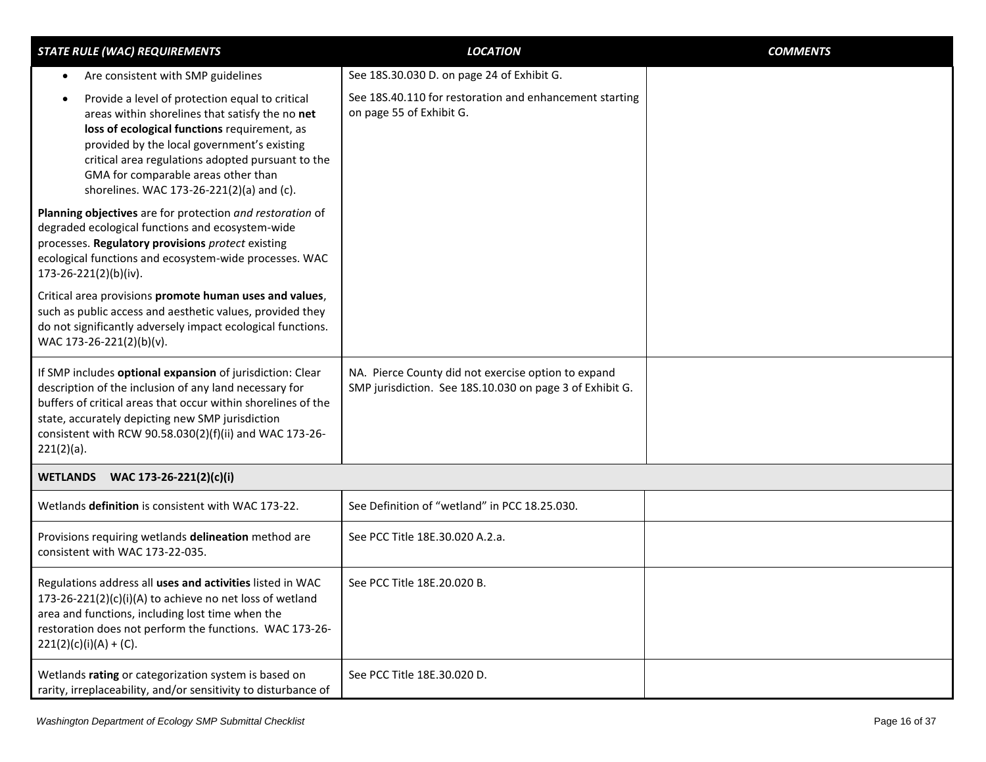<span id="page-15-0"></span>

| <b>STATE RULE (WAC) REQUIREMENTS</b>                                                                                                                                                                                                                                                                                                       | <b>LOCATION</b>                                                                                                 | <b>COMMENTS</b> |
|--------------------------------------------------------------------------------------------------------------------------------------------------------------------------------------------------------------------------------------------------------------------------------------------------------------------------------------------|-----------------------------------------------------------------------------------------------------------------|-----------------|
| Are consistent with SMP guidelines<br>$\bullet$                                                                                                                                                                                                                                                                                            | See 18S.30.030 D. on page 24 of Exhibit G.                                                                      |                 |
| Provide a level of protection equal to critical<br>areas within shorelines that satisfy the no net<br>loss of ecological functions requirement, as<br>provided by the local government's existing<br>critical area regulations adopted pursuant to the<br>GMA for comparable areas other than<br>shorelines. WAC 173-26-221(2)(a) and (c). | See 18S.40.110 for restoration and enhancement starting<br>on page 55 of Exhibit G.                             |                 |
| Planning objectives are for protection and restoration of<br>degraded ecological functions and ecosystem-wide<br>processes. Regulatory provisions protect existing<br>ecological functions and ecosystem-wide processes. WAC<br>173-26-221(2)(b)(iv).                                                                                      |                                                                                                                 |                 |
| Critical area provisions promote human uses and values,<br>such as public access and aesthetic values, provided they<br>do not significantly adversely impact ecological functions.<br>WAC 173-26-221(2)(b)(v).                                                                                                                            |                                                                                                                 |                 |
| If SMP includes optional expansion of jurisdiction: Clear<br>description of the inclusion of any land necessary for<br>buffers of critical areas that occur within shorelines of the<br>state, accurately depicting new SMP jurisdiction<br>consistent with RCW 90.58.030(2)(f)(ii) and WAC 173-26-<br>$221(2)(a)$ .                       | NA. Pierce County did not exercise option to expand<br>SMP jurisdiction. See 18S.10.030 on page 3 of Exhibit G. |                 |
| WETLANDS WAC 173-26-221(2)(c)(i)                                                                                                                                                                                                                                                                                                           |                                                                                                                 |                 |
| Wetlands definition is consistent with WAC 173-22.                                                                                                                                                                                                                                                                                         | See Definition of "wetland" in PCC 18.25.030.                                                                   |                 |
| Provisions requiring wetlands delineation method are<br>consistent with WAC 173-22-035.                                                                                                                                                                                                                                                    | See PCC Title 18E.30.020 A.2.a.                                                                                 |                 |
| Regulations address all uses and activities listed in WAC<br>173-26-221(2)(c)(i)(A) to achieve no net loss of wetland<br>area and functions, including lost time when the<br>restoration does not perform the functions. WAC 173-26-<br>$221(2)(c)(i)(A) + (C).$                                                                           | See PCC Title 18E.20.020 B.                                                                                     |                 |
| Wetlands rating or categorization system is based on<br>rarity, irreplaceability, and/or sensitivity to disturbance of                                                                                                                                                                                                                     | See PCC Title 18E.30.020 D.                                                                                     |                 |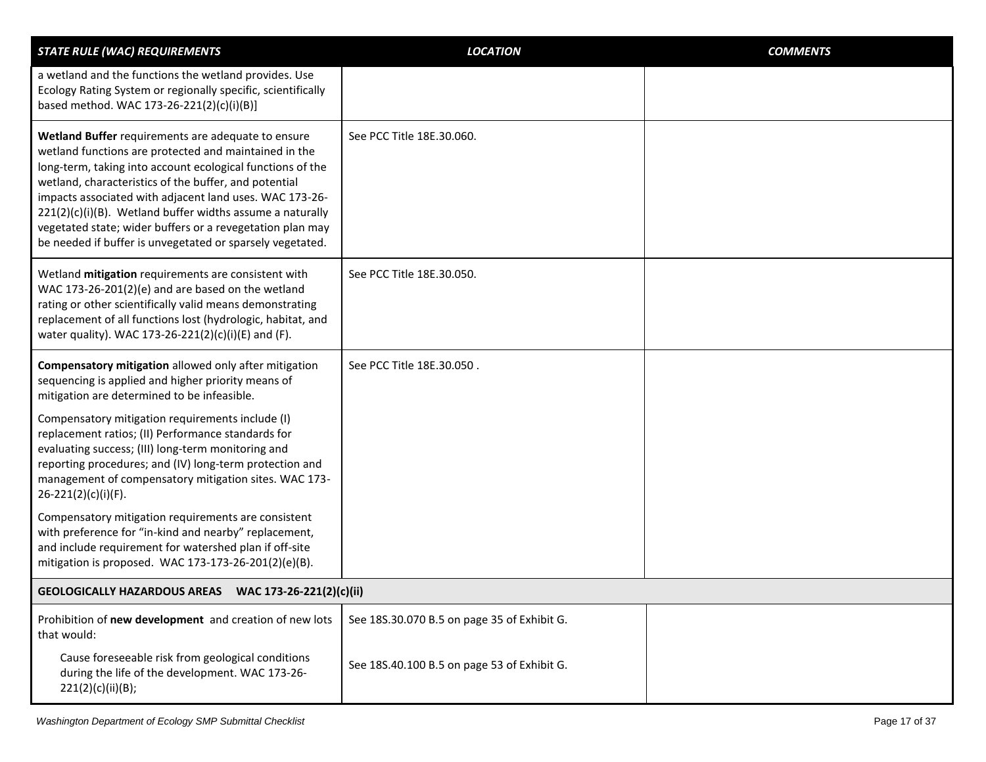<span id="page-16-0"></span>

| <b>STATE RULE (WAC) REQUIREMENTS</b>                                                                                                                                                                                                                                                                                                                                                                                                                                                 | <b>LOCATION</b>                             | <b>COMMENTS</b> |
|--------------------------------------------------------------------------------------------------------------------------------------------------------------------------------------------------------------------------------------------------------------------------------------------------------------------------------------------------------------------------------------------------------------------------------------------------------------------------------------|---------------------------------------------|-----------------|
| a wetland and the functions the wetland provides. Use<br>Ecology Rating System or regionally specific, scientifically<br>based method. WAC 173-26-221(2)(c)(i)(B)]                                                                                                                                                                                                                                                                                                                   |                                             |                 |
| Wetland Buffer requirements are adequate to ensure<br>wetland functions are protected and maintained in the<br>long-term, taking into account ecological functions of the<br>wetland, characteristics of the buffer, and potential<br>impacts associated with adjacent land uses. WAC 173-26-<br>221(2)(c)(i)(B). Wetland buffer widths assume a naturally<br>vegetated state; wider buffers or a revegetation plan may<br>be needed if buffer is unvegetated or sparsely vegetated. | See PCC Title 18E.30.060.                   |                 |
| Wetland mitigation requirements are consistent with<br>WAC 173-26-201(2)(e) and are based on the wetland<br>rating or other scientifically valid means demonstrating<br>replacement of all functions lost (hydrologic, habitat, and<br>water quality). WAC 173-26-221(2)(c)(i)(E) and (F).                                                                                                                                                                                           | See PCC Title 18E.30.050.                   |                 |
| Compensatory mitigation allowed only after mitigation<br>sequencing is applied and higher priority means of<br>mitigation are determined to be infeasible.                                                                                                                                                                                                                                                                                                                           | See PCC Title 18E.30.050.                   |                 |
| Compensatory mitigation requirements include (I)<br>replacement ratios; (II) Performance standards for<br>evaluating success; (III) long-term monitoring and<br>reporting procedures; and (IV) long-term protection and<br>management of compensatory mitigation sites. WAC 173-<br>26-221(2)(c)(i)(F).                                                                                                                                                                              |                                             |                 |
| Compensatory mitigation requirements are consistent<br>with preference for "in-kind and nearby" replacement,<br>and include requirement for watershed plan if off-site<br>mitigation is proposed. WAC 173-173-26-201(2)(e)(B).                                                                                                                                                                                                                                                       |                                             |                 |
| GEOLOGICALLY HAZARDOUS AREAS  WAC 173-26-221(2)(c)(ii)                                                                                                                                                                                                                                                                                                                                                                                                                               |                                             |                 |
| Prohibition of new development and creation of new lots<br>that would:                                                                                                                                                                                                                                                                                                                                                                                                               | See 18S.30.070 B.5 on page 35 of Exhibit G. |                 |
| Cause foreseeable risk from geological conditions<br>during the life of the development. WAC 173-26-<br>221(2)(c)(ii)(B);                                                                                                                                                                                                                                                                                                                                                            | See 18S.40.100 B.5 on page 53 of Exhibit G. |                 |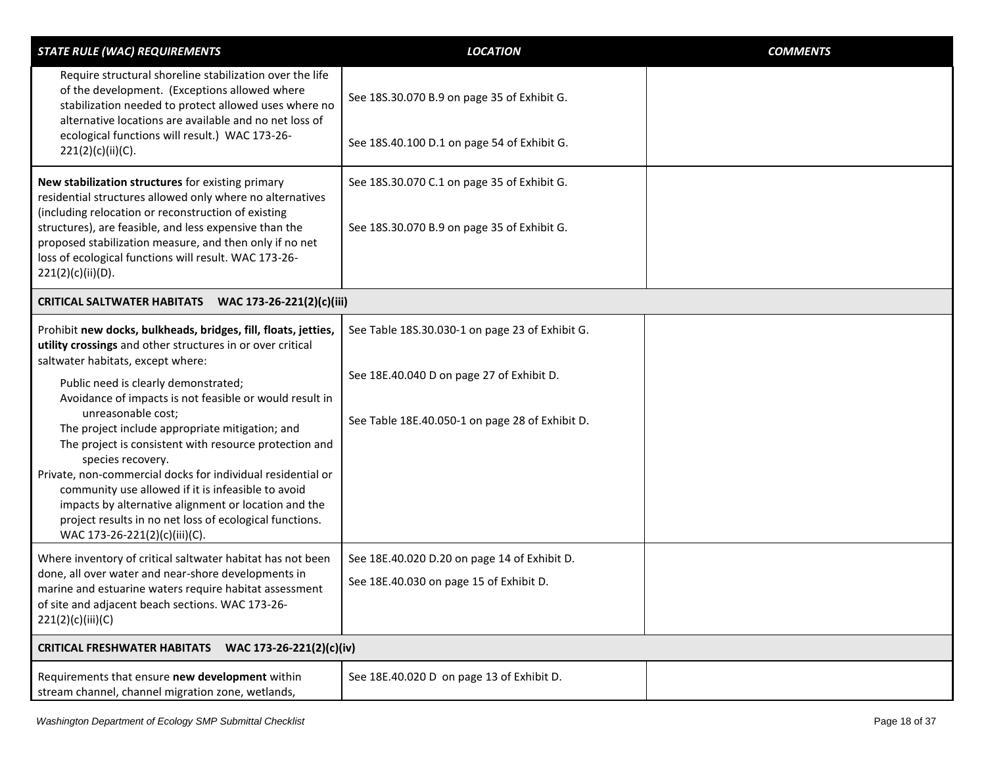<span id="page-17-1"></span><span id="page-17-0"></span>

| <b>STATE RULE (WAC) REQUIREMENTS</b>                                                                                                                                                                                                                                                                                                                                                                                                                                                                                                                                                                                                                                                                  | <b>LOCATION</b>                                                                                                                                 | <b>COMMENTS</b> |
|-------------------------------------------------------------------------------------------------------------------------------------------------------------------------------------------------------------------------------------------------------------------------------------------------------------------------------------------------------------------------------------------------------------------------------------------------------------------------------------------------------------------------------------------------------------------------------------------------------------------------------------------------------------------------------------------------------|-------------------------------------------------------------------------------------------------------------------------------------------------|-----------------|
| Require structural shoreline stabilization over the life<br>of the development. (Exceptions allowed where<br>stabilization needed to protect allowed uses where no<br>alternative locations are available and no net loss of<br>ecological functions will result.) WAC 173-26-                                                                                                                                                                                                                                                                                                                                                                                                                        | See 18S.30.070 B.9 on page 35 of Exhibit G.<br>See 18S.40.100 D.1 on page 54 of Exhibit G.                                                      |                 |
| 221(2)(c)(ii)(C).                                                                                                                                                                                                                                                                                                                                                                                                                                                                                                                                                                                                                                                                                     |                                                                                                                                                 |                 |
| New stabilization structures for existing primary<br>residential structures allowed only where no alternatives<br>(including relocation or reconstruction of existing                                                                                                                                                                                                                                                                                                                                                                                                                                                                                                                                 | See 18S.30.070 C.1 on page 35 of Exhibit G.                                                                                                     |                 |
| structures), are feasible, and less expensive than the<br>proposed stabilization measure, and then only if no net<br>loss of ecological functions will result. WAC 173-26-<br>221(2)(c)(ii)(D).                                                                                                                                                                                                                                                                                                                                                                                                                                                                                                       | See 18S.30.070 B.9 on page 35 of Exhibit G.                                                                                                     |                 |
| CRITICAL SALTWATER HABITATS WAC 173-26-221(2)(c)(iii)                                                                                                                                                                                                                                                                                                                                                                                                                                                                                                                                                                                                                                                 |                                                                                                                                                 |                 |
| Prohibit new docks, bulkheads, bridges, fill, floats, jetties,<br>utility crossings and other structures in or over critical<br>saltwater habitats, except where:<br>Public need is clearly demonstrated;<br>Avoidance of impacts is not feasible or would result in<br>unreasonable cost;<br>The project include appropriate mitigation; and<br>The project is consistent with resource protection and<br>species recovery.<br>Private, non-commercial docks for individual residential or<br>community use allowed if it is infeasible to avoid<br>impacts by alternative alignment or location and the<br>project results in no net loss of ecological functions.<br>WAC 173-26-221(2)(c)(iii)(C). | See Table 18S.30.030-1 on page 23 of Exhibit G.<br>See 18E.40.040 D on page 27 of Exhibit D.<br>See Table 18E.40.050-1 on page 28 of Exhibit D. |                 |
| Where inventory of critical saltwater habitat has not been<br>done, all over water and near-shore developments in<br>marine and estuarine waters require habitat assessment<br>of site and adjacent beach sections. WAC 173-26-<br>221(2)(c)(iii)(C)                                                                                                                                                                                                                                                                                                                                                                                                                                                  | See 18E.40.020 D.20 on page 14 of Exhibit D.<br>See 18E.40.030 on page 15 of Exhibit D.                                                         |                 |
| <b>CRITICAL FRESHWATER HABITATS</b><br>WAC 173-26-221(2)(c)(iv)                                                                                                                                                                                                                                                                                                                                                                                                                                                                                                                                                                                                                                       |                                                                                                                                                 |                 |
| Requirements that ensure new development within<br>stream channel, channel migration zone, wetlands,                                                                                                                                                                                                                                                                                                                                                                                                                                                                                                                                                                                                  | See 18E.40.020 D on page 13 of Exhibit D.                                                                                                       |                 |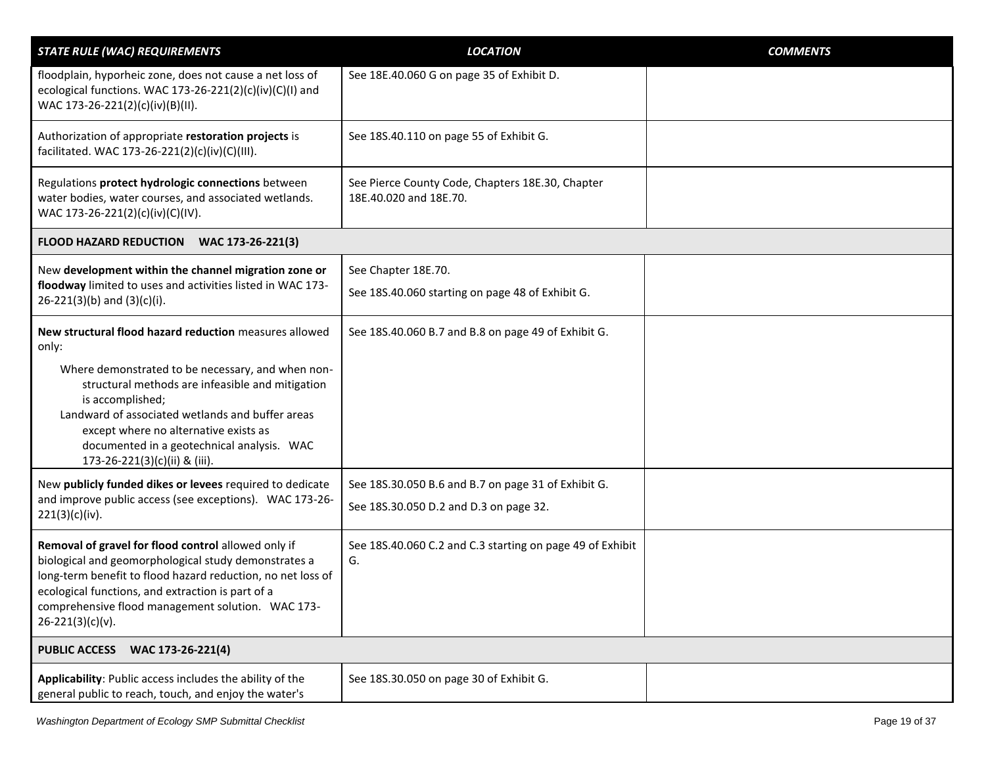<span id="page-18-1"></span><span id="page-18-0"></span>

| <b>STATE RULE (WAC) REQUIREMENTS</b>                                                                                                                                                                                                                                                                          | <b>LOCATION</b>                                                            | <b>COMMENTS</b> |
|---------------------------------------------------------------------------------------------------------------------------------------------------------------------------------------------------------------------------------------------------------------------------------------------------------------|----------------------------------------------------------------------------|-----------------|
| floodplain, hyporheic zone, does not cause a net loss of<br>ecological functions. WAC 173-26-221(2)(c)(iv)(C)(I) and<br>WAC 173-26-221(2)(c)(iv)(B)(II).                                                                                                                                                      | See 18E.40.060 G on page 35 of Exhibit D.                                  |                 |
| Authorization of appropriate restoration projects is<br>facilitated. WAC 173-26-221(2)(c)(iv)(C)(III).                                                                                                                                                                                                        | See 18S.40.110 on page 55 of Exhibit G.                                    |                 |
| Regulations protect hydrologic connections between<br>water bodies, water courses, and associated wetlands.<br>WAC 173-26-221(2)(c)(iv)(C)(IV).                                                                                                                                                               | See Pierce County Code, Chapters 18E.30, Chapter<br>18E.40.020 and 18E.70. |                 |
| FLOOD HAZARD REDUCTION WAC 173-26-221(3)                                                                                                                                                                                                                                                                      |                                                                            |                 |
| New development within the channel migration zone or                                                                                                                                                                                                                                                          | See Chapter 18E.70.                                                        |                 |
| floodway limited to uses and activities listed in WAC 173-<br>$26-221(3)(b)$ and $(3)(c)(i)$ .                                                                                                                                                                                                                | See 18S.40.060 starting on page 48 of Exhibit G.                           |                 |
| New structural flood hazard reduction measures allowed<br>only:                                                                                                                                                                                                                                               | See 18S.40.060 B.7 and B.8 on page 49 of Exhibit G.                        |                 |
| Where demonstrated to be necessary, and when non-<br>structural methods are infeasible and mitigation<br>is accomplished;<br>Landward of associated wetlands and buffer areas<br>except where no alternative exists as<br>documented in a geotechnical analysis. WAC<br>173-26-221(3)(c)(ii) & (iii).         |                                                                            |                 |
| New publicly funded dikes or levees required to dedicate                                                                                                                                                                                                                                                      | See 18S.30.050 B.6 and B.7 on page 31 of Exhibit G.                        |                 |
| and improve public access (see exceptions). WAC 173-26-<br>221(3)(c)(iv).                                                                                                                                                                                                                                     | See 18S.30.050 D.2 and D.3 on page 32.                                     |                 |
| Removal of gravel for flood control allowed only if<br>biological and geomorphological study demonstrates a<br>long-term benefit to flood hazard reduction, no net loss of<br>ecological functions, and extraction is part of a<br>comprehensive flood management solution. WAC 173-<br>$26 - 221(3)(c)(v)$ . | See 18S.40.060 C.2 and C.3 starting on page 49 of Exhibit<br>G.            |                 |
| <b>PUBLIC ACCESS WAC 173-26-221(4)</b>                                                                                                                                                                                                                                                                        |                                                                            |                 |
| Applicability: Public access includes the ability of the<br>general public to reach, touch, and enjoy the water's                                                                                                                                                                                             | See 18S.30.050 on page 30 of Exhibit G.                                    |                 |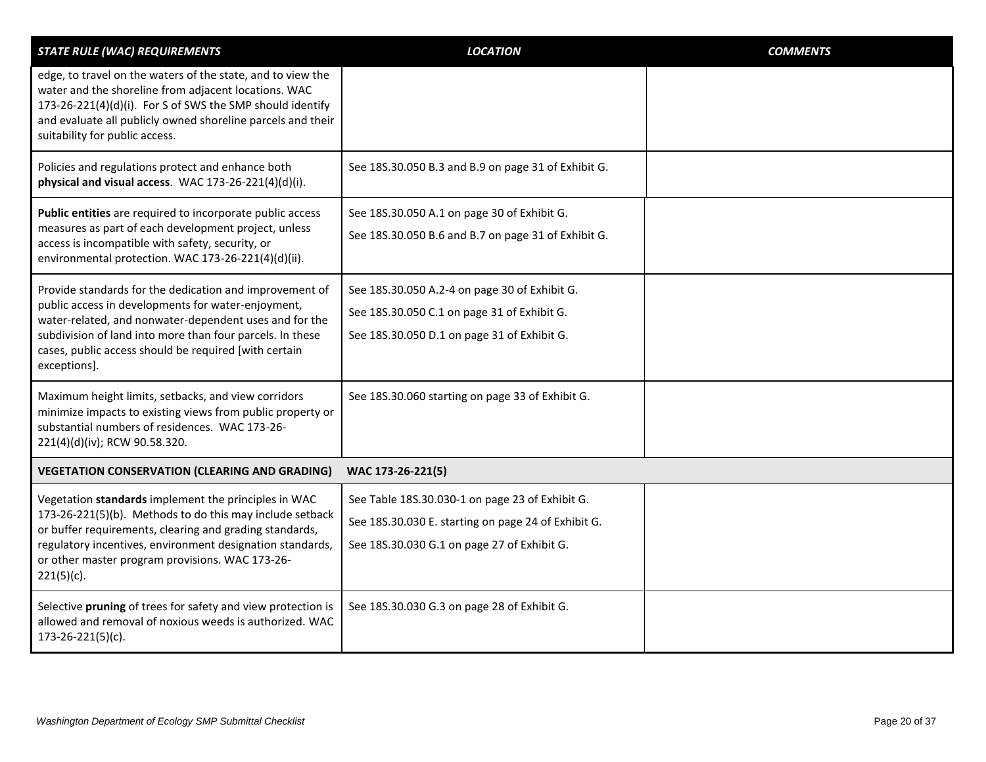<span id="page-19-0"></span>

| <b>STATE RULE (WAC) REQUIREMENTS</b>                                                                                                                                                                                                                                                                          | <b>LOCATION</b>                                                                                                                                       | <b>COMMENTS</b> |
|---------------------------------------------------------------------------------------------------------------------------------------------------------------------------------------------------------------------------------------------------------------------------------------------------------------|-------------------------------------------------------------------------------------------------------------------------------------------------------|-----------------|
| edge, to travel on the waters of the state, and to view the<br>water and the shoreline from adjacent locations. WAC<br>173-26-221(4)(d)(i). For S of SWS the SMP should identify<br>and evaluate all publicly owned shoreline parcels and their<br>suitability for public access.                             |                                                                                                                                                       |                 |
| Policies and regulations protect and enhance both<br>physical and visual access. WAC 173-26-221(4)(d)(i).                                                                                                                                                                                                     | See 18S.30.050 B.3 and B.9 on page 31 of Exhibit G.                                                                                                   |                 |
| Public entities are required to incorporate public access<br>measures as part of each development project, unless<br>access is incompatible with safety, security, or<br>environmental protection. WAC 173-26-221(4)(d)(ii).                                                                                  | See 18S.30.050 A.1 on page 30 of Exhibit G.<br>See 18S.30.050 B.6 and B.7 on page 31 of Exhibit G.                                                    |                 |
| Provide standards for the dedication and improvement of<br>public access in developments for water-enjoyment,<br>water-related, and nonwater-dependent uses and for the<br>subdivision of land into more than four parcels. In these<br>cases, public access should be required [with certain<br>exceptions]. | See 18S.30.050 A.2-4 on page 30 of Exhibit G.<br>See 18S.30.050 C.1 on page 31 of Exhibit G.<br>See 18S.30.050 D.1 on page 31 of Exhibit G.           |                 |
| Maximum height limits, setbacks, and view corridors<br>minimize impacts to existing views from public property or<br>substantial numbers of residences. WAC 173-26-<br>221(4)(d)(iv); RCW 90.58.320.                                                                                                          | See 18S.30.060 starting on page 33 of Exhibit G.                                                                                                      |                 |
| <b>VEGETATION CONSERVATION (CLEARING AND GRADING)</b>                                                                                                                                                                                                                                                         | WAC 173-26-221(5)                                                                                                                                     |                 |
| Vegetation standards implement the principles in WAC<br>173-26-221(5)(b). Methods to do this may include setback<br>or buffer requirements, clearing and grading standards,<br>regulatory incentives, environment designation standards,<br>or other master program provisions. WAC 173-26-<br>$221(5)(c)$ .  | See Table 18S.30.030-1 on page 23 of Exhibit G.<br>See 18S.30.030 E. starting on page 24 of Exhibit G.<br>See 18S.30.030 G.1 on page 27 of Exhibit G. |                 |
| Selective pruning of trees for safety and view protection is<br>allowed and removal of noxious weeds is authorized. WAC<br>173-26-221(5)(c).                                                                                                                                                                  | See 18S.30.030 G.3 on page 28 of Exhibit G.                                                                                                           |                 |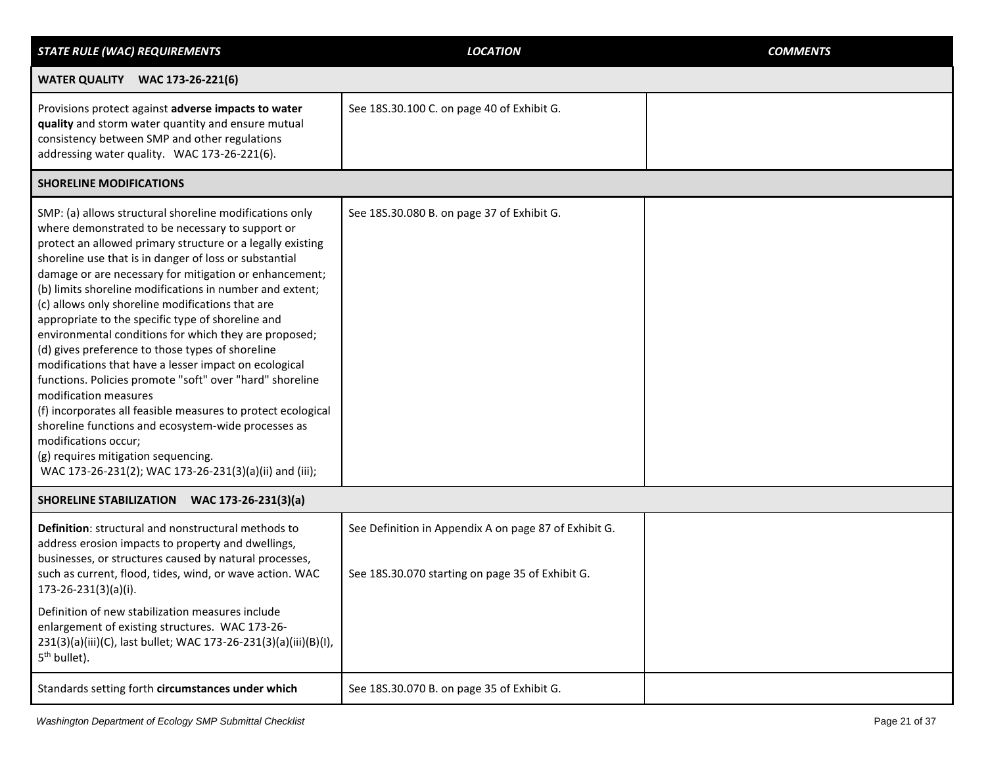<span id="page-20-2"></span><span id="page-20-1"></span><span id="page-20-0"></span>

| <b>STATE RULE (WAC) REQUIREMENTS</b>                                                                                                                                                                                                                                                                                                                                                                                                                                                                                                                                                                                                                                                                                                                                                                                                                                                                                                                                          | <b>LOCATION</b>                                                                                           | <b>COMMENTS</b> |
|-------------------------------------------------------------------------------------------------------------------------------------------------------------------------------------------------------------------------------------------------------------------------------------------------------------------------------------------------------------------------------------------------------------------------------------------------------------------------------------------------------------------------------------------------------------------------------------------------------------------------------------------------------------------------------------------------------------------------------------------------------------------------------------------------------------------------------------------------------------------------------------------------------------------------------------------------------------------------------|-----------------------------------------------------------------------------------------------------------|-----------------|
| <b>WATER QUALITY WAC 173-26-221(6)</b>                                                                                                                                                                                                                                                                                                                                                                                                                                                                                                                                                                                                                                                                                                                                                                                                                                                                                                                                        |                                                                                                           |                 |
| Provisions protect against adverse impacts to water<br>quality and storm water quantity and ensure mutual<br>consistency between SMP and other regulations<br>addressing water quality. WAC 173-26-221(6).                                                                                                                                                                                                                                                                                                                                                                                                                                                                                                                                                                                                                                                                                                                                                                    | See 18S.30.100 C. on page 40 of Exhibit G.                                                                |                 |
| <b>SHORELINE MODIFICATIONS</b>                                                                                                                                                                                                                                                                                                                                                                                                                                                                                                                                                                                                                                                                                                                                                                                                                                                                                                                                                |                                                                                                           |                 |
| SMP: (a) allows structural shoreline modifications only<br>where demonstrated to be necessary to support or<br>protect an allowed primary structure or a legally existing<br>shoreline use that is in danger of loss or substantial<br>damage or are necessary for mitigation or enhancement;<br>(b) limits shoreline modifications in number and extent;<br>(c) allows only shoreline modifications that are<br>appropriate to the specific type of shoreline and<br>environmental conditions for which they are proposed;<br>(d) gives preference to those types of shoreline<br>modifications that have a lesser impact on ecological<br>functions. Policies promote "soft" over "hard" shoreline<br>modification measures<br>(f) incorporates all feasible measures to protect ecological<br>shoreline functions and ecosystem-wide processes as<br>modifications occur;<br>(g) requires mitigation sequencing.<br>WAC 173-26-231(2); WAC 173-26-231(3)(a)(ii) and (iii); | See 18S.30.080 B. on page 37 of Exhibit G.                                                                |                 |
| SHORELINE STABILIZATION WAC 173-26-231(3)(a)                                                                                                                                                                                                                                                                                                                                                                                                                                                                                                                                                                                                                                                                                                                                                                                                                                                                                                                                  |                                                                                                           |                 |
| Definition: structural and nonstructural methods to<br>address erosion impacts to property and dwellings,<br>businesses, or structures caused by natural processes,<br>such as current, flood, tides, wind, or wave action. WAC<br>173-26-231(3)(a)(i).                                                                                                                                                                                                                                                                                                                                                                                                                                                                                                                                                                                                                                                                                                                       | See Definition in Appendix A on page 87 of Exhibit G.<br>See 18S.30.070 starting on page 35 of Exhibit G. |                 |
| Definition of new stabilization measures include<br>enlargement of existing structures. WAC 173-26-<br>231(3)(a)(iii)(C), last bullet; WAC 173-26-231(3)(a)(iii)(B)(I),<br>5 <sup>th</sup> bullet).                                                                                                                                                                                                                                                                                                                                                                                                                                                                                                                                                                                                                                                                                                                                                                           |                                                                                                           |                 |
| Standards setting forth circumstances under which                                                                                                                                                                                                                                                                                                                                                                                                                                                                                                                                                                                                                                                                                                                                                                                                                                                                                                                             | See 18S.30.070 B. on page 35 of Exhibit G.                                                                |                 |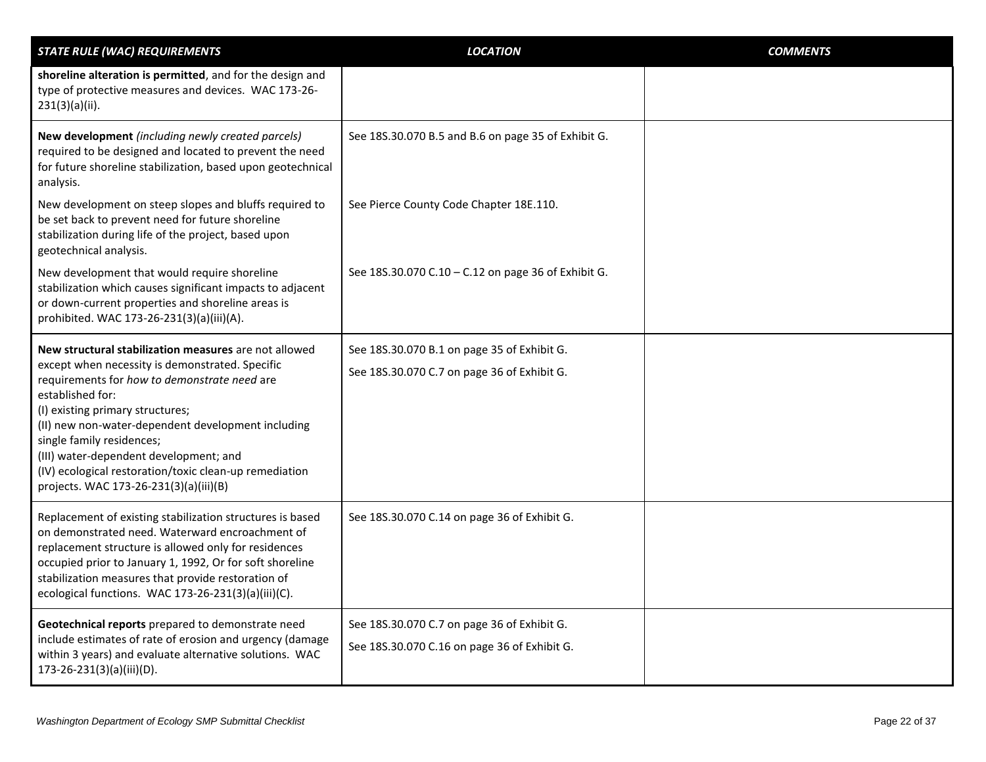| <b>STATE RULE (WAC) REQUIREMENTS</b>                                                                                                                                                                                                                                                                                                                                                                                                              | <b>LOCATION</b>                                                                             | <b>COMMENTS</b> |
|---------------------------------------------------------------------------------------------------------------------------------------------------------------------------------------------------------------------------------------------------------------------------------------------------------------------------------------------------------------------------------------------------------------------------------------------------|---------------------------------------------------------------------------------------------|-----------------|
| shoreline alteration is permitted, and for the design and<br>type of protective measures and devices. WAC 173-26-<br>$231(3)(a)(ii)$ .                                                                                                                                                                                                                                                                                                            |                                                                                             |                 |
| New development (including newly created parcels)<br>required to be designed and located to prevent the need<br>for future shoreline stabilization, based upon geotechnical<br>analysis.                                                                                                                                                                                                                                                          | See 18S.30.070 B.5 and B.6 on page 35 of Exhibit G.                                         |                 |
| New development on steep slopes and bluffs required to<br>be set back to prevent need for future shoreline<br>stabilization during life of the project, based upon<br>geotechnical analysis.                                                                                                                                                                                                                                                      | See Pierce County Code Chapter 18E.110.                                                     |                 |
| New development that would require shoreline<br>stabilization which causes significant impacts to adjacent<br>or down-current properties and shoreline areas is<br>prohibited. WAC 173-26-231(3)(a)(iii)(A).                                                                                                                                                                                                                                      | See 18S.30.070 C.10 - C.12 on page 36 of Exhibit G.                                         |                 |
| New structural stabilization measures are not allowed<br>except when necessity is demonstrated. Specific<br>requirements for how to demonstrate need are<br>established for:<br>(I) existing primary structures;<br>(II) new non-water-dependent development including<br>single family residences;<br>(III) water-dependent development; and<br>(IV) ecological restoration/toxic clean-up remediation<br>projects. WAC 173-26-231(3)(a)(iii)(B) | See 18S.30.070 B.1 on page 35 of Exhibit G.<br>See 18S.30.070 C.7 on page 36 of Exhibit G.  |                 |
| Replacement of existing stabilization structures is based<br>on demonstrated need. Waterward encroachment of<br>replacement structure is allowed only for residences<br>occupied prior to January 1, 1992, Or for soft shoreline<br>stabilization measures that provide restoration of<br>ecological functions. WAC 173-26-231(3)(a)(iii)(C).                                                                                                     | See 18S.30.070 C.14 on page 36 of Exhibit G.                                                |                 |
| Geotechnical reports prepared to demonstrate need<br>include estimates of rate of erosion and urgency (damage<br>within 3 years) and evaluate alternative solutions. WAC<br>173-26-231(3)(a)(iii)(D).                                                                                                                                                                                                                                             | See 18S.30.070 C.7 on page 36 of Exhibit G.<br>See 18S.30.070 C.16 on page 36 of Exhibit G. |                 |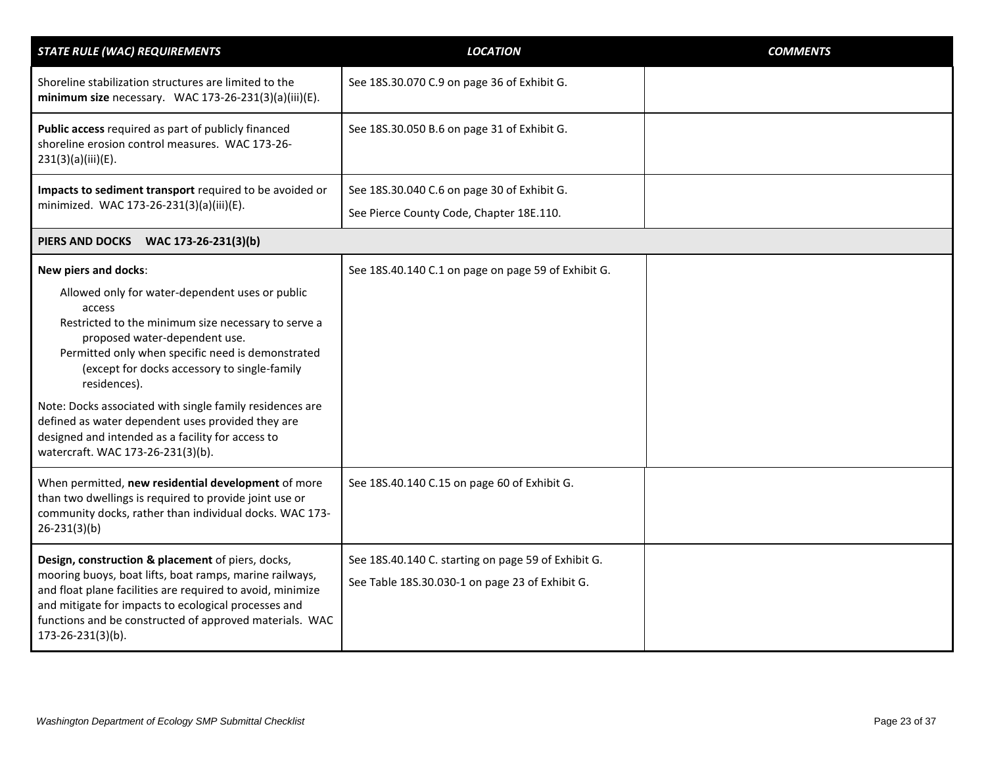<span id="page-22-0"></span>

| <b>STATE RULE (WAC) REQUIREMENTS</b>                                                                                                                                                                                                                                                                                                                                                                                                                                              | <b>LOCATION</b>                                                                                        | <b>COMMENTS</b> |
|-----------------------------------------------------------------------------------------------------------------------------------------------------------------------------------------------------------------------------------------------------------------------------------------------------------------------------------------------------------------------------------------------------------------------------------------------------------------------------------|--------------------------------------------------------------------------------------------------------|-----------------|
| Shoreline stabilization structures are limited to the<br>minimum size necessary. WAC 173-26-231(3)(a)(iii)(E).                                                                                                                                                                                                                                                                                                                                                                    | See 18S.30.070 C.9 on page 36 of Exhibit G.                                                            |                 |
| Public access required as part of publicly financed<br>shoreline erosion control measures. WAC 173-26-<br>231(3)(a)(iii)(E).                                                                                                                                                                                                                                                                                                                                                      | See 18S.30.050 B.6 on page 31 of Exhibit G.                                                            |                 |
| Impacts to sediment transport required to be avoided or                                                                                                                                                                                                                                                                                                                                                                                                                           | See 18S.30.040 C.6 on page 30 of Exhibit G.                                                            |                 |
| minimized. WAC 173-26-231(3)(a)(iii)(E).                                                                                                                                                                                                                                                                                                                                                                                                                                          | See Pierce County Code, Chapter 18E.110.                                                               |                 |
| PIERS AND DOCKS WAC 173-26-231(3)(b)                                                                                                                                                                                                                                                                                                                                                                                                                                              |                                                                                                        |                 |
| New piers and docks:                                                                                                                                                                                                                                                                                                                                                                                                                                                              | See 18S.40.140 C.1 on page on page 59 of Exhibit G.                                                    |                 |
| Allowed only for water-dependent uses or public<br>access<br>Restricted to the minimum size necessary to serve a<br>proposed water-dependent use.<br>Permitted only when specific need is demonstrated<br>(except for docks accessory to single-family<br>residences).<br>Note: Docks associated with single family residences are<br>defined as water dependent uses provided they are<br>designed and intended as a facility for access to<br>watercraft. WAC 173-26-231(3)(b). |                                                                                                        |                 |
| When permitted, new residential development of more<br>than two dwellings is required to provide joint use or<br>community docks, rather than individual docks. WAC 173-<br>$26 - 231(3)(b)$                                                                                                                                                                                                                                                                                      | See 18S.40.140 C.15 on page 60 of Exhibit G.                                                           |                 |
| Design, construction & placement of piers, docks,<br>mooring buoys, boat lifts, boat ramps, marine railways,<br>and float plane facilities are required to avoid, minimize<br>and mitigate for impacts to ecological processes and<br>functions and be constructed of approved materials. WAC<br>173-26-231(3)(b).                                                                                                                                                                | See 18S.40.140 C. starting on page 59 of Exhibit G.<br>See Table 18S.30.030-1 on page 23 of Exhibit G. |                 |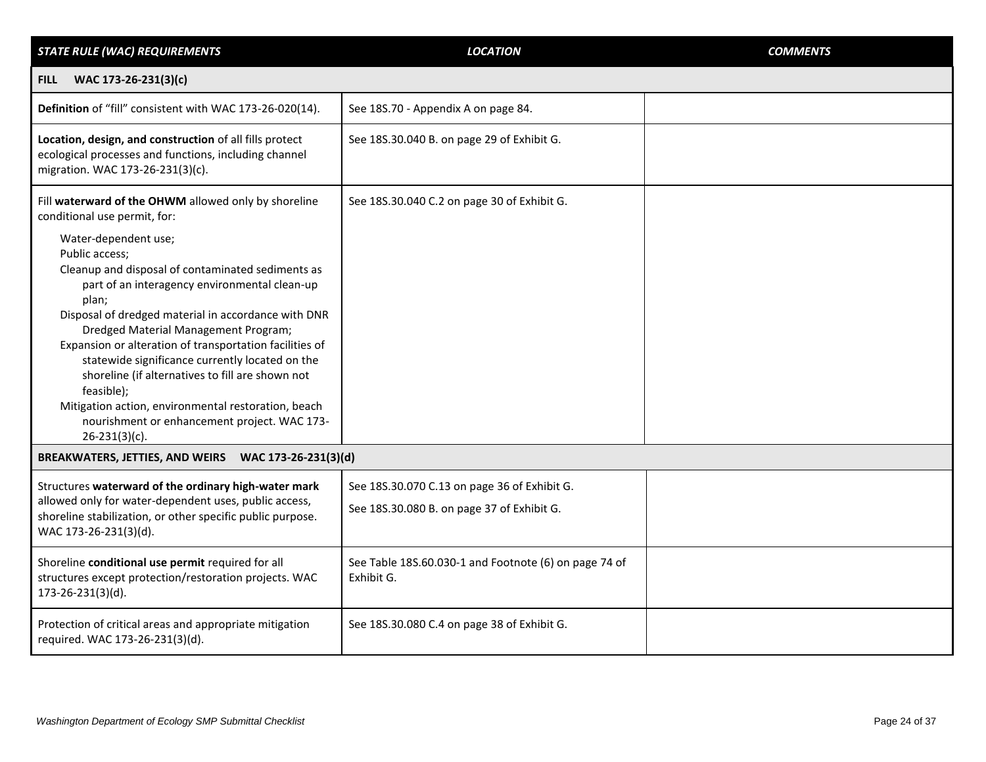<span id="page-23-1"></span><span id="page-23-0"></span>

| <b>STATE RULE (WAC) REQUIREMENTS</b>                                                                                                                                                                                                                                                                                                                                                                                                                                                                                                                              | <b>LOCATION</b>                                                                            | <b>COMMENTS</b> |
|-------------------------------------------------------------------------------------------------------------------------------------------------------------------------------------------------------------------------------------------------------------------------------------------------------------------------------------------------------------------------------------------------------------------------------------------------------------------------------------------------------------------------------------------------------------------|--------------------------------------------------------------------------------------------|-----------------|
| WAC 173-26-231(3)(c)<br><b>FILL</b>                                                                                                                                                                                                                                                                                                                                                                                                                                                                                                                               |                                                                                            |                 |
| Definition of "fill" consistent with WAC 173-26-020(14).                                                                                                                                                                                                                                                                                                                                                                                                                                                                                                          | See 18S.70 - Appendix A on page 84.                                                        |                 |
| Location, design, and construction of all fills protect<br>ecological processes and functions, including channel<br>migration. WAC 173-26-231(3)(c).                                                                                                                                                                                                                                                                                                                                                                                                              | See 18S.30.040 B. on page 29 of Exhibit G.                                                 |                 |
| Fill waterward of the OHWM allowed only by shoreline<br>conditional use permit, for:                                                                                                                                                                                                                                                                                                                                                                                                                                                                              | See 18S.30.040 C.2 on page 30 of Exhibit G.                                                |                 |
| Water-dependent use;<br>Public access;<br>Cleanup and disposal of contaminated sediments as<br>part of an interagency environmental clean-up<br>plan;<br>Disposal of dredged material in accordance with DNR<br>Dredged Material Management Program;<br>Expansion or alteration of transportation facilities of<br>statewide significance currently located on the<br>shoreline (if alternatives to fill are shown not<br>feasible);<br>Mitigation action, environmental restoration, beach<br>nourishment or enhancement project. WAC 173-<br>$26 - 231(3)(c)$ . |                                                                                            |                 |
| BREAKWATERS, JETTIES, AND WEIRS WAC 173-26-231(3)(d)                                                                                                                                                                                                                                                                                                                                                                                                                                                                                                              |                                                                                            |                 |
| Structures waterward of the ordinary high-water mark<br>allowed only for water-dependent uses, public access,<br>shoreline stabilization, or other specific public purpose.<br>WAC 173-26-231(3)(d).                                                                                                                                                                                                                                                                                                                                                              | See 18S.30.070 C.13 on page 36 of Exhibit G.<br>See 18S.30.080 B. on page 37 of Exhibit G. |                 |
| Shoreline conditional use permit required for all<br>structures except protection/restoration projects. WAC<br>173-26-231(3)(d).                                                                                                                                                                                                                                                                                                                                                                                                                                  | See Table 18S.60.030-1 and Footnote (6) on page 74 of<br>Exhibit G.                        |                 |
| Protection of critical areas and appropriate mitigation<br>required. WAC 173-26-231(3)(d).                                                                                                                                                                                                                                                                                                                                                                                                                                                                        | See 18S.30.080 C.4 on page 38 of Exhibit G.                                                |                 |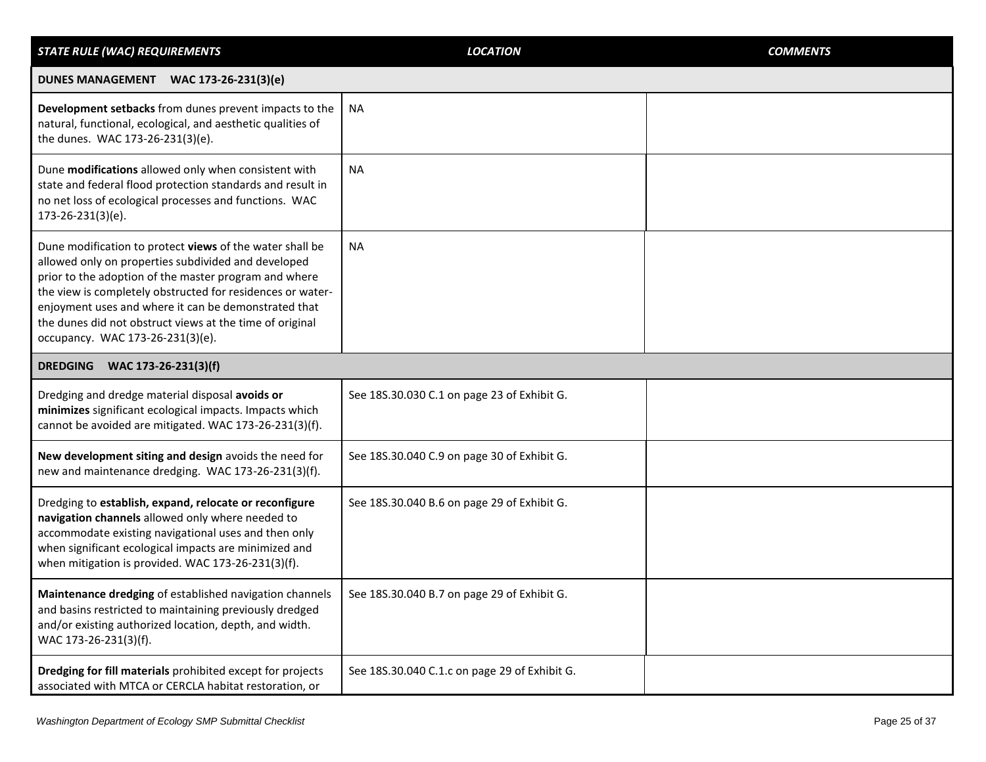<span id="page-24-1"></span><span id="page-24-0"></span>

| <b>STATE RULE (WAC) REQUIREMENTS</b>                                                                                                                                                                                                                                                                                                                                                           | <b>LOCATION</b>                               | <b>COMMENTS</b> |
|------------------------------------------------------------------------------------------------------------------------------------------------------------------------------------------------------------------------------------------------------------------------------------------------------------------------------------------------------------------------------------------------|-----------------------------------------------|-----------------|
| DUNES MANAGEMENT WAC 173-26-231(3)(e)                                                                                                                                                                                                                                                                                                                                                          |                                               |                 |
| Development setbacks from dunes prevent impacts to the<br>natural, functional, ecological, and aesthetic qualities of<br>the dunes. WAC 173-26-231(3)(e).                                                                                                                                                                                                                                      | <b>NA</b>                                     |                 |
| Dune modifications allowed only when consistent with<br>state and federal flood protection standards and result in<br>no net loss of ecological processes and functions. WAC<br>173-26-231(3)(e).                                                                                                                                                                                              | <b>NA</b>                                     |                 |
| Dune modification to protect views of the water shall be<br>allowed only on properties subdivided and developed<br>prior to the adoption of the master program and where<br>the view is completely obstructed for residences or water-<br>enjoyment uses and where it can be demonstrated that<br>the dunes did not obstruct views at the time of original<br>occupancy. WAC 173-26-231(3)(e). | <b>NA</b>                                     |                 |
| DREDGING WAC 173-26-231(3)(f)                                                                                                                                                                                                                                                                                                                                                                  |                                               |                 |
| Dredging and dredge material disposal avoids or<br>minimizes significant ecological impacts. Impacts which<br>cannot be avoided are mitigated. WAC 173-26-231(3)(f).                                                                                                                                                                                                                           | See 18S.30.030 C.1 on page 23 of Exhibit G.   |                 |
| New development siting and design avoids the need for<br>new and maintenance dredging. WAC 173-26-231(3)(f).                                                                                                                                                                                                                                                                                   | See 18S.30.040 C.9 on page 30 of Exhibit G.   |                 |
| Dredging to establish, expand, relocate or reconfigure<br>navigation channels allowed only where needed to<br>accommodate existing navigational uses and then only<br>when significant ecological impacts are minimized and<br>when mitigation is provided. WAC 173-26-231(3)(f).                                                                                                              | See 18S.30.040 B.6 on page 29 of Exhibit G.   |                 |
| Maintenance dredging of established navigation channels<br>and basins restricted to maintaining previously dredged<br>and/or existing authorized location, depth, and width.<br>WAC 173-26-231(3)(f).                                                                                                                                                                                          | See 18S.30.040 B.7 on page 29 of Exhibit G    |                 |
| Dredging for fill materials prohibited except for projects<br>associated with MTCA or CERCLA habitat restoration, or                                                                                                                                                                                                                                                                           | See 18S.30.040 C.1.c on page 29 of Exhibit G. |                 |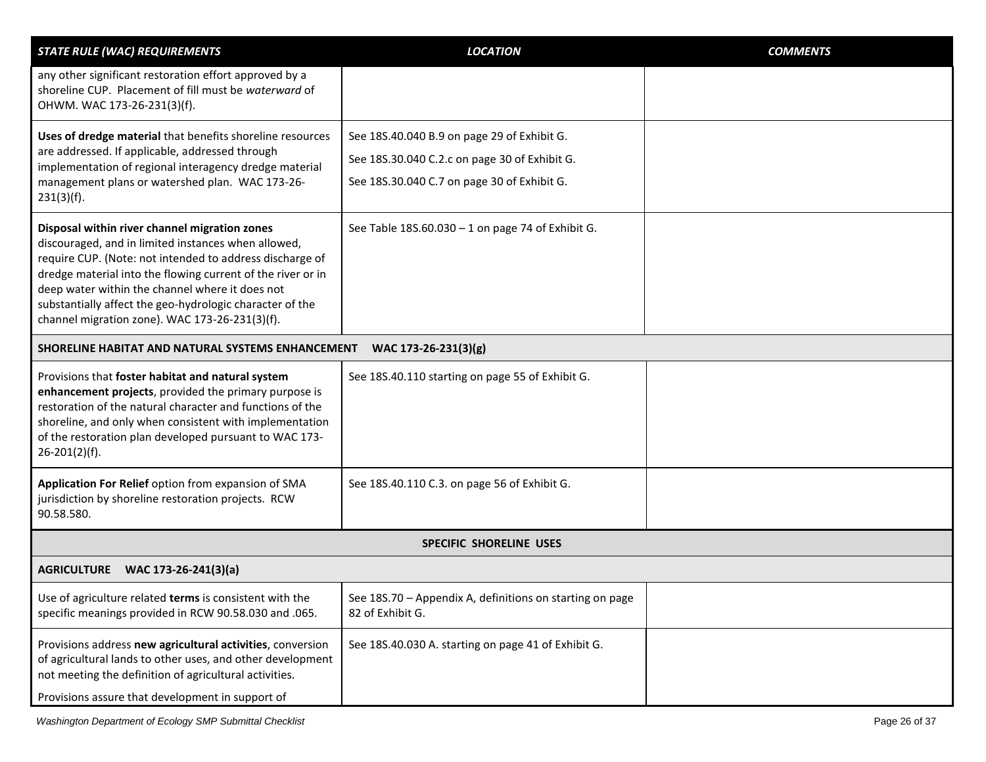<span id="page-25-2"></span><span id="page-25-1"></span><span id="page-25-0"></span>

| <b>STATE RULE (WAC) REQUIREMENTS</b>                                                                                                                                                                                                                                                                                                                                                             | <b>LOCATION</b>                                                                                                                             | <b>COMMENTS</b> |
|--------------------------------------------------------------------------------------------------------------------------------------------------------------------------------------------------------------------------------------------------------------------------------------------------------------------------------------------------------------------------------------------------|---------------------------------------------------------------------------------------------------------------------------------------------|-----------------|
| any other significant restoration effort approved by a<br>shoreline CUP. Placement of fill must be waterward of<br>OHWM. WAC 173-26-231(3)(f).                                                                                                                                                                                                                                                   |                                                                                                                                             |                 |
| Uses of dredge material that benefits shoreline resources<br>are addressed. If applicable, addressed through<br>implementation of regional interagency dredge material<br>management plans or watershed plan. WAC 173-26-<br>$231(3)(f)$ .                                                                                                                                                       | See 18S.40.040 B.9 on page 29 of Exhibit G.<br>See 18S.30.040 C.2.c on page 30 of Exhibit G.<br>See 18S.30.040 C.7 on page 30 of Exhibit G. |                 |
| Disposal within river channel migration zones<br>discouraged, and in limited instances when allowed,<br>require CUP. (Note: not intended to address discharge of<br>dredge material into the flowing current of the river or in<br>deep water within the channel where it does not<br>substantially affect the geo-hydrologic character of the<br>channel migration zone). WAC 173-26-231(3)(f). | See Table 18S.60.030 - 1 on page 74 of Exhibit G.                                                                                           |                 |
| SHORELINE HABITAT AND NATURAL SYSTEMS ENHANCEMENT<br>WAC 173-26-231(3)(g)                                                                                                                                                                                                                                                                                                                        |                                                                                                                                             |                 |
| Provisions that foster habitat and natural system<br>enhancement projects, provided the primary purpose is<br>restoration of the natural character and functions of the<br>shoreline, and only when consistent with implementation<br>of the restoration plan developed pursuant to WAC 173-<br>$26 - 201(2)(f)$ .                                                                               | See 18S.40.110 starting on page 55 of Exhibit G.                                                                                            |                 |
| Application For Relief option from expansion of SMA<br>jurisdiction by shoreline restoration projects. RCW<br>90.58.580.                                                                                                                                                                                                                                                                         | See 18S.40.110 C.3. on page 56 of Exhibit G.                                                                                                |                 |
|                                                                                                                                                                                                                                                                                                                                                                                                  | <b>SPECIFIC SHORELINE USES</b>                                                                                                              |                 |
| AGRICULTURE WAC 173-26-241(3)(a)                                                                                                                                                                                                                                                                                                                                                                 |                                                                                                                                             |                 |
| Use of agriculture related terms is consistent with the<br>specific meanings provided in RCW 90.58.030 and .065.                                                                                                                                                                                                                                                                                 | See 18S.70 - Appendix A, definitions on starting on page<br>82 of Exhibit G.                                                                |                 |
| Provisions address new agricultural activities, conversion<br>of agricultural lands to other uses, and other development<br>not meeting the definition of agricultural activities.<br>Provisions assure that development in support of                                                                                                                                                           | See 18S.40.030 A. starting on page 41 of Exhibit G.                                                                                         |                 |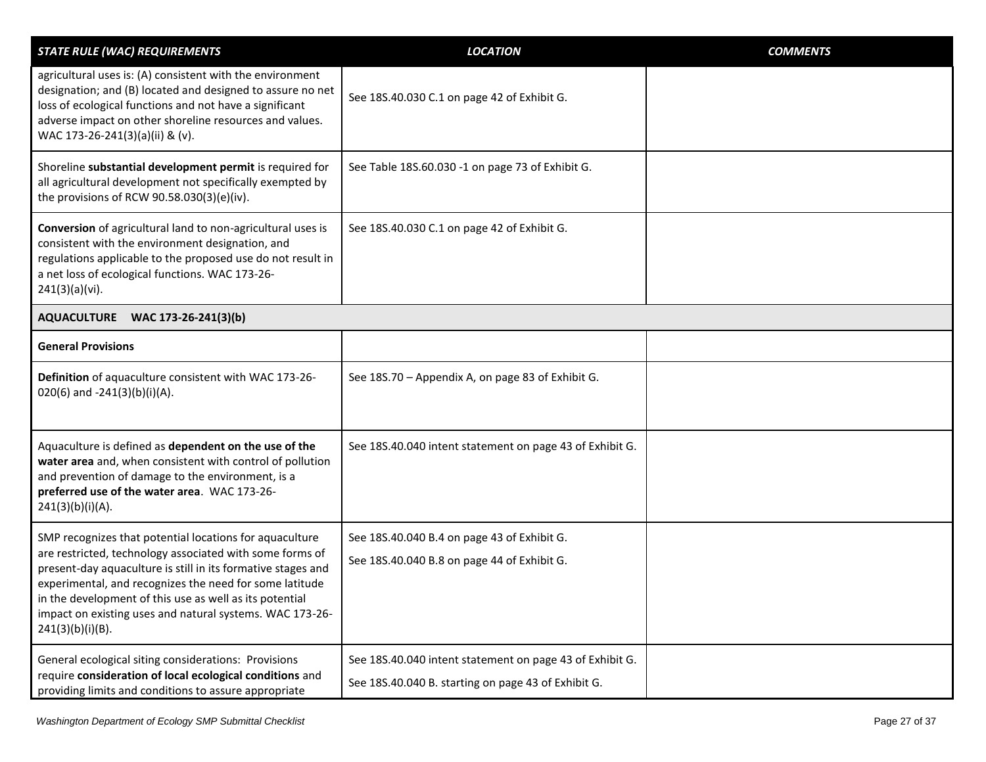<span id="page-26-0"></span>

| <b>STATE RULE (WAC) REQUIREMENTS</b>                                                                                                                                                                                                                                                                                                                                                         | <b>LOCATION</b>                                                                                                 | <b>COMMENTS</b> |
|----------------------------------------------------------------------------------------------------------------------------------------------------------------------------------------------------------------------------------------------------------------------------------------------------------------------------------------------------------------------------------------------|-----------------------------------------------------------------------------------------------------------------|-----------------|
| agricultural uses is: (A) consistent with the environment<br>designation; and (B) located and designed to assure no net<br>loss of ecological functions and not have a significant<br>adverse impact on other shoreline resources and values.<br>WAC 173-26-241(3)(a)(ii) & (v).                                                                                                             | See 18S.40.030 C.1 on page 42 of Exhibit G.                                                                     |                 |
| Shoreline substantial development permit is required for<br>all agricultural development not specifically exempted by<br>the provisions of RCW 90.58.030(3)(e)(iv).                                                                                                                                                                                                                          | See Table 18S.60.030 -1 on page 73 of Exhibit G.                                                                |                 |
| Conversion of agricultural land to non-agricultural uses is<br>consistent with the environment designation, and<br>regulations applicable to the proposed use do not result in<br>a net loss of ecological functions. WAC 173-26-<br>241(3)(a)(vi).                                                                                                                                          | See 18S.40.030 C.1 on page 42 of Exhibit G.                                                                     |                 |
| AQUACULTURE WAC 173-26-241(3)(b)                                                                                                                                                                                                                                                                                                                                                             |                                                                                                                 |                 |
| <b>General Provisions</b>                                                                                                                                                                                                                                                                                                                                                                    |                                                                                                                 |                 |
| Definition of aquaculture consistent with WAC 173-26-<br>020(6) and -241(3)(b)(i)(A).                                                                                                                                                                                                                                                                                                        | See 18S.70 - Appendix A, on page 83 of Exhibit G.                                                               |                 |
| Aquaculture is defined as dependent on the use of the<br>water area and, when consistent with control of pollution<br>and prevention of damage to the environment, is a<br>preferred use of the water area. WAC 173-26-<br>241(3)(b)(i)(A).                                                                                                                                                  | See 18S.40.040 intent statement on page 43 of Exhibit G.                                                        |                 |
| SMP recognizes that potential locations for aquaculture<br>are restricted, technology associated with some forms of<br>present-day aquaculture is still in its formative stages and<br>experimental, and recognizes the need for some latitude<br>in the development of this use as well as its potential<br>impact on existing uses and natural systems. WAC 173-26-<br>$241(3)(b)(i)(B)$ . | See 18S.40.040 B.4 on page 43 of Exhibit G.<br>See 18S.40.040 B.8 on page 44 of Exhibit G.                      |                 |
| General ecological siting considerations: Provisions<br>require consideration of local ecological conditions and<br>providing limits and conditions to assure appropriate                                                                                                                                                                                                                    | See 18S.40.040 intent statement on page 43 of Exhibit G.<br>See 18S.40.040 B. starting on page 43 of Exhibit G. |                 |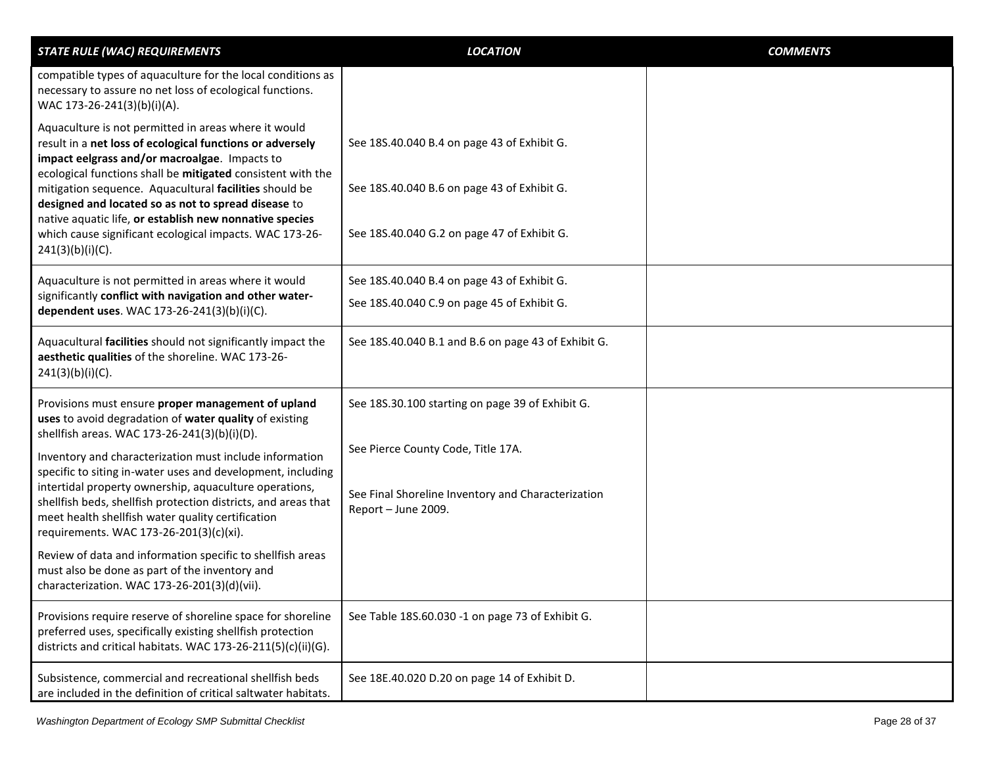| <b>STATE RULE (WAC) REQUIREMENTS</b>                                                                                                                                                                                                                                                                                                                                                                                                                                                                                                                                                                                                                                               | <b>LOCATION</b>                                                                                                                                                     | <b>COMMENTS</b> |
|------------------------------------------------------------------------------------------------------------------------------------------------------------------------------------------------------------------------------------------------------------------------------------------------------------------------------------------------------------------------------------------------------------------------------------------------------------------------------------------------------------------------------------------------------------------------------------------------------------------------------------------------------------------------------------|---------------------------------------------------------------------------------------------------------------------------------------------------------------------|-----------------|
| compatible types of aquaculture for the local conditions as<br>necessary to assure no net loss of ecological functions.<br>WAC 173-26-241(3)(b)(i)(A).                                                                                                                                                                                                                                                                                                                                                                                                                                                                                                                             |                                                                                                                                                                     |                 |
| Aquaculture is not permitted in areas where it would<br>result in a net loss of ecological functions or adversely<br>impact eelgrass and/or macroalgae. Impacts to<br>ecological functions shall be mitigated consistent with the<br>mitigation sequence. Aquacultural facilities should be<br>designed and located so as not to spread disease to<br>native aquatic life, or establish new nonnative species<br>which cause significant ecological impacts. WAC 173-26-<br>$241(3)(b)(i)(C)$ .                                                                                                                                                                                    | See 18S.40.040 B.4 on page 43 of Exhibit G.<br>See 18S.40.040 B.6 on page 43 of Exhibit G.<br>See 18S.40.040 G.2 on page 47 of Exhibit G.                           |                 |
| Aquaculture is not permitted in areas where it would<br>significantly conflict with navigation and other water-<br>dependent uses. WAC 173-26-241(3)(b)(i)(C).                                                                                                                                                                                                                                                                                                                                                                                                                                                                                                                     | See 18S.40.040 B.4 on page 43 of Exhibit G.<br>See 18S.40.040 C.9 on page 45 of Exhibit G.                                                                          |                 |
| Aquacultural facilities should not significantly impact the<br>aesthetic qualities of the shoreline. WAC 173-26-<br>$241(3)(b)(i)(C)$ .                                                                                                                                                                                                                                                                                                                                                                                                                                                                                                                                            | See 18S.40.040 B.1 and B.6 on page 43 of Exhibit G.                                                                                                                 |                 |
| Provisions must ensure proper management of upland<br>uses to avoid degradation of water quality of existing<br>shellfish areas. WAC 173-26-241(3)(b)(i)(D).<br>Inventory and characterization must include information<br>specific to siting in-water uses and development, including<br>intertidal property ownership, aquaculture operations,<br>shellfish beds, shellfish protection districts, and areas that<br>meet health shellfish water quality certification<br>requirements. WAC 173-26-201(3)(c)(xi).<br>Review of data and information specific to shellfish areas<br>must also be done as part of the inventory and<br>characterization. WAC 173-26-201(3)(d)(vii). | See 18S.30.100 starting on page 39 of Exhibit G.<br>See Pierce County Code, Title 17A.<br>See Final Shoreline Inventory and Characterization<br>Report - June 2009. |                 |
| Provisions require reserve of shoreline space for shoreline<br>preferred uses, specifically existing shellfish protection<br>districts and critical habitats. WAC 173-26-211(5)(c)(ii)(G).                                                                                                                                                                                                                                                                                                                                                                                                                                                                                         | See Table 18S.60.030 -1 on page 73 of Exhibit G.                                                                                                                    |                 |
| Subsistence, commercial and recreational shellfish beds<br>are included in the definition of critical saltwater habitats.                                                                                                                                                                                                                                                                                                                                                                                                                                                                                                                                                          | See 18E.40.020 D.20 on page 14 of Exhibit D.                                                                                                                        |                 |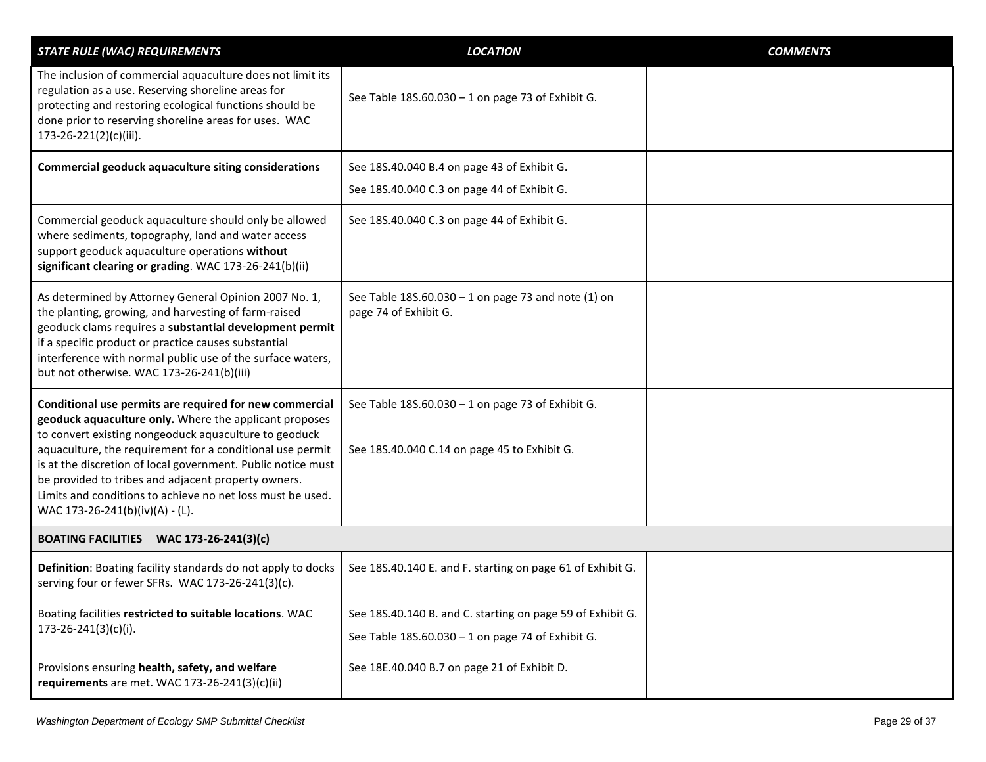<span id="page-28-0"></span>

| <b>STATE RULE (WAC) REQUIREMENTS</b>                                                                                                                                                                                                                                                                                                                                                                                                                            | <b>LOCATION</b>                                                                                                 | <b>COMMENTS</b> |
|-----------------------------------------------------------------------------------------------------------------------------------------------------------------------------------------------------------------------------------------------------------------------------------------------------------------------------------------------------------------------------------------------------------------------------------------------------------------|-----------------------------------------------------------------------------------------------------------------|-----------------|
| The inclusion of commercial aquaculture does not limit its<br>regulation as a use. Reserving shoreline areas for<br>protecting and restoring ecological functions should be<br>done prior to reserving shoreline areas for uses. WAC<br>173-26-221(2)(c)(iii).                                                                                                                                                                                                  | See Table 18S.60.030 - 1 on page 73 of Exhibit G.                                                               |                 |
| <b>Commercial geoduck aquaculture siting considerations</b>                                                                                                                                                                                                                                                                                                                                                                                                     | See 18S.40.040 B.4 on page 43 of Exhibit G.                                                                     |                 |
|                                                                                                                                                                                                                                                                                                                                                                                                                                                                 | See 18S.40.040 C.3 on page 44 of Exhibit G.                                                                     |                 |
| Commercial geoduck aquaculture should only be allowed<br>where sediments, topography, land and water access<br>support geoduck aquaculture operations without<br>significant clearing or grading. WAC 173-26-241(b)(ii)                                                                                                                                                                                                                                         | See 18S.40.040 C.3 on page 44 of Exhibit G.                                                                     |                 |
| As determined by Attorney General Opinion 2007 No. 1,<br>the planting, growing, and harvesting of farm-raised<br>geoduck clams requires a substantial development permit<br>if a specific product or practice causes substantial<br>interference with normal public use of the surface waters,<br>but not otherwise. WAC 173-26-241(b)(iii)                                                                                                                     | See Table 18S.60.030 - 1 on page 73 and note (1) on<br>page 74 of Exhibit G.                                    |                 |
| Conditional use permits are required for new commercial<br>geoduck aquaculture only. Where the applicant proposes<br>to convert existing nongeoduck aquaculture to geoduck<br>aquaculture, the requirement for a conditional use permit<br>is at the discretion of local government. Public notice must<br>be provided to tribes and adjacent property owners.<br>Limits and conditions to achieve no net loss must be used.<br>WAC 173-26-241(b)(iv)(A) - (L). | See Table 18S.60.030 - 1 on page 73 of Exhibit G.<br>See 18S.40.040 C.14 on page 45 to Exhibit G.               |                 |
| BOATING FACILITIES WAC 173-26-241(3)(c)                                                                                                                                                                                                                                                                                                                                                                                                                         |                                                                                                                 |                 |
| Definition: Boating facility standards do not apply to docks<br>serving four or fewer SFRs. WAC 173-26-241(3)(c).                                                                                                                                                                                                                                                                                                                                               | See 18S.40.140 E. and F. starting on page 61 of Exhibit G.                                                      |                 |
| Boating facilities restricted to suitable locations. WAC<br>$173 - 26 - 241(3)(c)(i).$                                                                                                                                                                                                                                                                                                                                                                          | See 18S.40.140 B. and C. starting on page 59 of Exhibit G.<br>See Table 18S.60.030 - 1 on page 74 of Exhibit G. |                 |
| Provisions ensuring health, safety, and welfare<br>requirements are met. WAC 173-26-241(3)(c)(ii)                                                                                                                                                                                                                                                                                                                                                               | See 18E.40.040 B.7 on page 21 of Exhibit D.                                                                     |                 |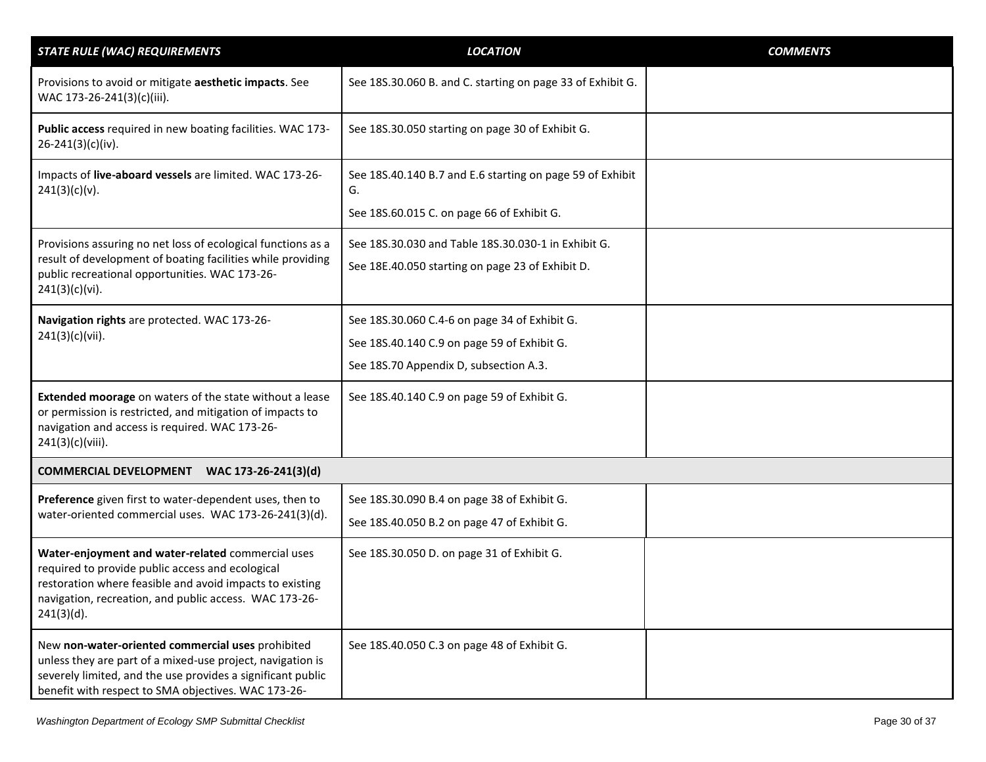<span id="page-29-0"></span>

| <b>STATE RULE (WAC) REQUIREMENTS</b>                                                                                                                                                                                                         | <b>LOCATION</b>                                                                                                                        | <b>COMMENTS</b> |
|----------------------------------------------------------------------------------------------------------------------------------------------------------------------------------------------------------------------------------------------|----------------------------------------------------------------------------------------------------------------------------------------|-----------------|
| Provisions to avoid or mitigate aesthetic impacts. See<br>WAC 173-26-241(3)(c)(iii).                                                                                                                                                         | See 18S.30.060 B. and C. starting on page 33 of Exhibit G.                                                                             |                 |
| Public access required in new boating facilities. WAC 173-<br>$26 - 241(3)(c)(iv).$                                                                                                                                                          | See 18S.30.050 starting on page 30 of Exhibit G.                                                                                       |                 |
| Impacts of live-aboard vessels are limited. WAC 173-26-<br>241(3)(c)(v).                                                                                                                                                                     | See 18S.40.140 B.7 and E.6 starting on page 59 of Exhibit<br>G.                                                                        |                 |
|                                                                                                                                                                                                                                              | See 18S.60.015 C. on page 66 of Exhibit G.                                                                                             |                 |
| Provisions assuring no net loss of ecological functions as a<br>result of development of boating facilities while providing<br>public recreational opportunities. WAC 173-26-<br>241(3)(c)(vi).                                              | See 18S.30.030 and Table 18S.30.030-1 in Exhibit G.<br>See 18E.40.050 starting on page 23 of Exhibit D.                                |                 |
| Navigation rights are protected. WAC 173-26-<br>241(3)(c)(vii).                                                                                                                                                                              | See 18S.30.060 C.4-6 on page 34 of Exhibit G.<br>See 18S.40.140 C.9 on page 59 of Exhibit G.<br>See 18S.70 Appendix D, subsection A.3. |                 |
| Extended moorage on waters of the state without a lease<br>or permission is restricted, and mitigation of impacts to<br>navigation and access is required. WAC 173-26-<br>241(3)(c)(viii).                                                   | See 18S.40.140 C.9 on page 59 of Exhibit G.                                                                                            |                 |
| COMMERCIAL DEVELOPMENT WAC 173-26-241(3)(d)                                                                                                                                                                                                  |                                                                                                                                        |                 |
| Preference given first to water-dependent uses, then to<br>water-oriented commercial uses. WAC 173-26-241(3)(d).                                                                                                                             | See 18S.30.090 B.4 on page 38 of Exhibit G.<br>See 18S.40.050 B.2 on page 47 of Exhibit G.                                             |                 |
| Water-enjoyment and water-related commercial uses<br>required to provide public access and ecological<br>restoration where feasible and avoid impacts to existing<br>navigation, recreation, and public access. WAC 173-26-<br>$241(3)(d)$ . | See 18S.30.050 D. on page 31 of Exhibit G.                                                                                             |                 |
| New non-water-oriented commercial uses prohibited<br>unless they are part of a mixed-use project, navigation is<br>severely limited, and the use provides a significant public<br>benefit with respect to SMA objectives. WAC 173-26-        | See 18S.40.050 C.3 on page 48 of Exhibit G.                                                                                            |                 |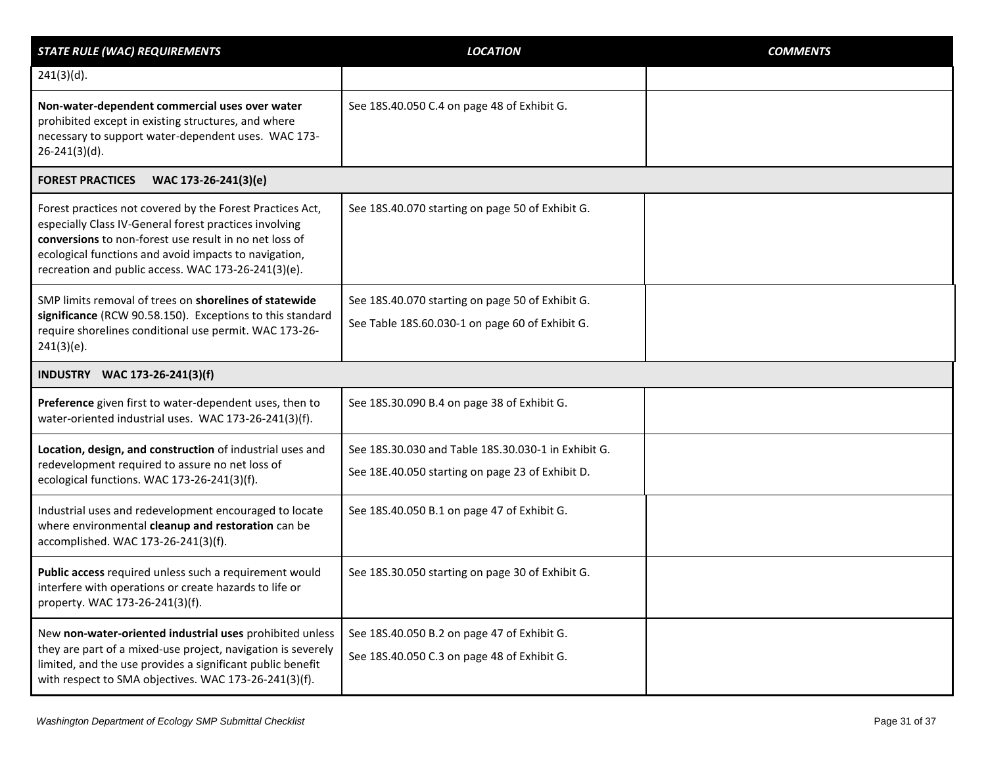<span id="page-30-1"></span><span id="page-30-0"></span>

| <b>STATE RULE (WAC) REQUIREMENTS</b>                                                                                                                                                                                                                                                          | <b>LOCATION</b>                                                                                         | <b>COMMENTS</b> |
|-----------------------------------------------------------------------------------------------------------------------------------------------------------------------------------------------------------------------------------------------------------------------------------------------|---------------------------------------------------------------------------------------------------------|-----------------|
| $241(3)(d)$ .                                                                                                                                                                                                                                                                                 |                                                                                                         |                 |
| Non-water-dependent commercial uses over water<br>prohibited except in existing structures, and where<br>necessary to support water-dependent uses. WAC 173-<br>$26 - 241(3)(d)$ .                                                                                                            | See 18S.40.050 C.4 on page 48 of Exhibit G.                                                             |                 |
| <b>FOREST PRACTICES</b><br>WAC 173-26-241(3)(e)                                                                                                                                                                                                                                               |                                                                                                         |                 |
| Forest practices not covered by the Forest Practices Act,<br>especially Class IV-General forest practices involving<br>conversions to non-forest use result in no net loss of<br>ecological functions and avoid impacts to navigation,<br>recreation and public access. WAC 173-26-241(3)(e). | See 18S.40.070 starting on page 50 of Exhibit G.                                                        |                 |
| SMP limits removal of trees on shorelines of statewide<br>significance (RCW 90.58.150). Exceptions to this standard<br>require shorelines conditional use permit. WAC 173-26-<br>$241(3)(e)$ .                                                                                                | See 18S.40.070 starting on page 50 of Exhibit G.<br>See Table 18S.60.030-1 on page 60 of Exhibit G.     |                 |
| INDUSTRY WAC 173-26-241(3)(f)                                                                                                                                                                                                                                                                 |                                                                                                         |                 |
| Preference given first to water-dependent uses, then to<br>water-oriented industrial uses. WAC 173-26-241(3)(f).                                                                                                                                                                              | See 18S.30.090 B.4 on page 38 of Exhibit G.                                                             |                 |
| Location, design, and construction of industrial uses and<br>redevelopment required to assure no net loss of<br>ecological functions. WAC 173-26-241(3)(f).                                                                                                                                   | See 18S.30.030 and Table 18S.30.030-1 in Exhibit G.<br>See 18E.40.050 starting on page 23 of Exhibit D. |                 |
| Industrial uses and redevelopment encouraged to locate<br>where environmental cleanup and restoration can be<br>accomplished. WAC 173-26-241(3)(f).                                                                                                                                           | See 18S.40.050 B.1 on page 47 of Exhibit G.                                                             |                 |
| Public access required unless such a requirement would<br>interfere with operations or create hazards to life or<br>property. WAC 173-26-241(3)(f).                                                                                                                                           | See 18S.30.050 starting on page 30 of Exhibit G.                                                        |                 |
| New non-water-oriented industrial uses prohibited unless<br>they are part of a mixed-use project, navigation is severely<br>limited, and the use provides a significant public benefit<br>with respect to SMA objectives. WAC 173-26-241(3)(f).                                               | See 18S.40.050 B.2 on page 47 of Exhibit G.<br>See 18S.40.050 C.3 on page 48 of Exhibit G.              |                 |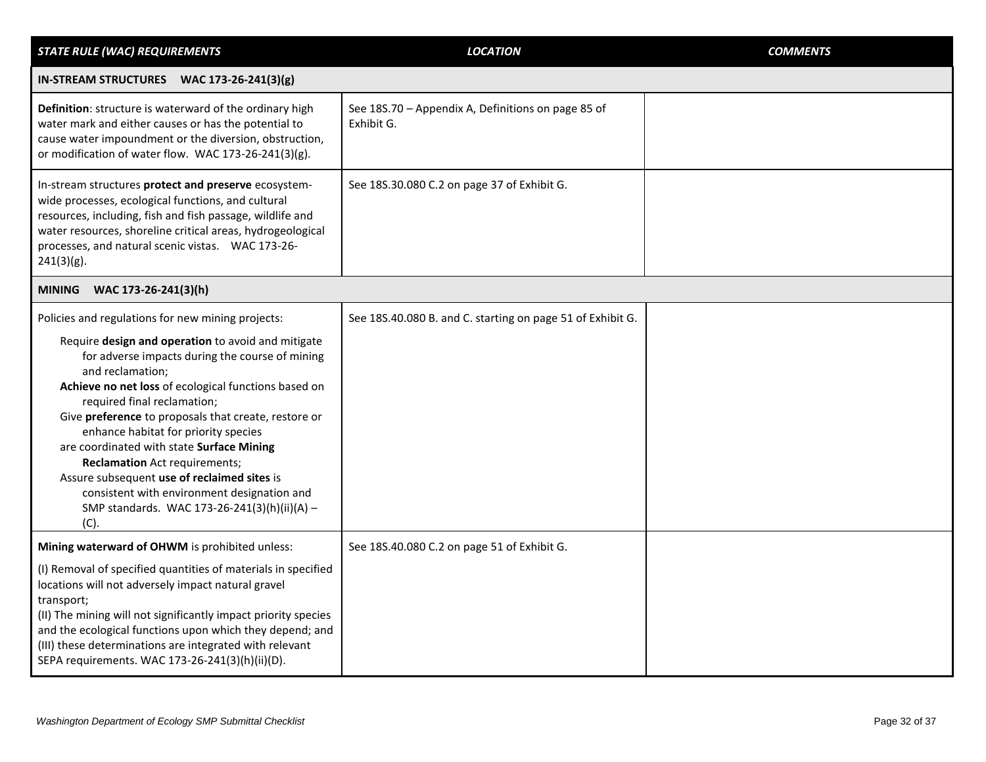<span id="page-31-1"></span><span id="page-31-0"></span>

| <b>STATE RULE (WAC) REQUIREMENTS</b>                                                                                                                                                                                                                                                                                                                                                                                                                                                                                                                                                                             | <b>LOCATION</b>                                                  | <b>COMMENTS</b> |
|------------------------------------------------------------------------------------------------------------------------------------------------------------------------------------------------------------------------------------------------------------------------------------------------------------------------------------------------------------------------------------------------------------------------------------------------------------------------------------------------------------------------------------------------------------------------------------------------------------------|------------------------------------------------------------------|-----------------|
| IN-STREAM STRUCTURES WAC 173-26-241(3)(g)                                                                                                                                                                                                                                                                                                                                                                                                                                                                                                                                                                        |                                                                  |                 |
| Definition: structure is waterward of the ordinary high<br>water mark and either causes or has the potential to<br>cause water impoundment or the diversion, obstruction,<br>or modification of water flow. WAC 173-26-241(3)(g).                                                                                                                                                                                                                                                                                                                                                                                | See 18S.70 - Appendix A, Definitions on page 85 of<br>Exhibit G. |                 |
| In-stream structures protect and preserve ecosystem-<br>wide processes, ecological functions, and cultural<br>resources, including, fish and fish passage, wildlife and<br>water resources, shoreline critical areas, hydrogeological<br>processes, and natural scenic vistas.  WAC 173-26-<br>$241(3)(g)$ .                                                                                                                                                                                                                                                                                                     | See 18S.30.080 C.2 on page 37 of Exhibit G.                      |                 |
| MINING WAC 173-26-241(3)(h)                                                                                                                                                                                                                                                                                                                                                                                                                                                                                                                                                                                      |                                                                  |                 |
| Policies and regulations for new mining projects:<br>Require design and operation to avoid and mitigate<br>for adverse impacts during the course of mining<br>and reclamation;<br>Achieve no net loss of ecological functions based on<br>required final reclamation;<br>Give preference to proposals that create, restore or<br>enhance habitat for priority species<br>are coordinated with state Surface Mining<br><b>Reclamation</b> Act requirements;<br>Assure subsequent use of reclaimed sites is<br>consistent with environment designation and<br>SMP standards. WAC 173-26-241(3)(h)(ii)(A) -<br>(C). | See 18S.40.080 B. and C. starting on page 51 of Exhibit G.       |                 |
| Mining waterward of OHWM is prohibited unless:<br>(I) Removal of specified quantities of materials in specified<br>locations will not adversely impact natural gravel<br>transport;<br>(II) The mining will not significantly impact priority species<br>and the ecological functions upon which they depend; and<br>(III) these determinations are integrated with relevant<br>SEPA requirements. WAC 173-26-241(3)(h)(ii)(D).                                                                                                                                                                                  | See 18S.40.080 C.2 on page 51 of Exhibit G.                      |                 |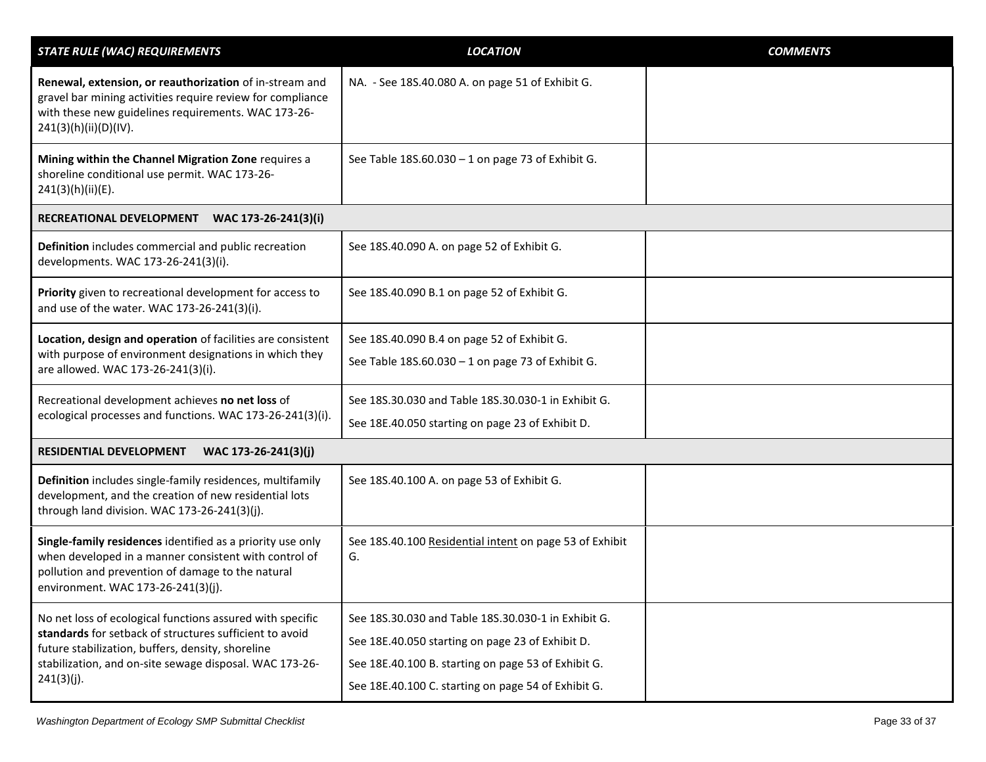<span id="page-32-1"></span><span id="page-32-0"></span>

| <b>STATE RULE (WAC) REQUIREMENTS</b>                                                                                                                                                                                                               | <b>LOCATION</b>                                                                                                                                                                                                       | <b>COMMENTS</b> |
|----------------------------------------------------------------------------------------------------------------------------------------------------------------------------------------------------------------------------------------------------|-----------------------------------------------------------------------------------------------------------------------------------------------------------------------------------------------------------------------|-----------------|
| Renewal, extension, or reauthorization of in-stream and<br>gravel bar mining activities require review for compliance<br>with these new guidelines requirements. WAC 173-26-<br>241(3)(h)(ii)(D)(IV).                                              | NA. - See 18S.40.080 A. on page 51 of Exhibit G.                                                                                                                                                                      |                 |
| Mining within the Channel Migration Zone requires a<br>shoreline conditional use permit. WAC 173-26-<br>241(3)(h)(ii)(E).                                                                                                                          | See Table 18S.60.030 - 1 on page 73 of Exhibit G.                                                                                                                                                                     |                 |
| RECREATIONAL DEVELOPMENT<br>WAC 173-26-241(3)(i)                                                                                                                                                                                                   |                                                                                                                                                                                                                       |                 |
| Definition includes commercial and public recreation<br>developments. WAC 173-26-241(3)(i).                                                                                                                                                        | See 18S.40.090 A. on page 52 of Exhibit G.                                                                                                                                                                            |                 |
| Priority given to recreational development for access to<br>and use of the water. WAC 173-26-241(3)(i).                                                                                                                                            | See 18S.40.090 B.1 on page 52 of Exhibit G.                                                                                                                                                                           |                 |
| Location, design and operation of facilities are consistent<br>with purpose of environment designations in which they<br>are allowed. WAC 173-26-241(3)(i).                                                                                        | See 18S.40.090 B.4 on page 52 of Exhibit G.<br>See Table 18S.60.030 - 1 on page 73 of Exhibit G.                                                                                                                      |                 |
| Recreational development achieves no net loss of<br>ecological processes and functions. WAC 173-26-241(3)(i).                                                                                                                                      | See 18S.30.030 and Table 18S.30.030-1 in Exhibit G.<br>See 18E.40.050 starting on page 23 of Exhibit D.                                                                                                               |                 |
| RESIDENTIAL DEVELOPMENT<br>WAC 173-26-241(3)(j)                                                                                                                                                                                                    |                                                                                                                                                                                                                       |                 |
| Definition includes single-family residences, multifamily<br>development, and the creation of new residential lots<br>through land division. WAC 173-26-241(3)(j).                                                                                 | See 18S.40.100 A. on page 53 of Exhibit G.                                                                                                                                                                            |                 |
| Single-family residences identified as a priority use only<br>when developed in a manner consistent with control of<br>pollution and prevention of damage to the natural<br>environment. WAC 173-26-241(3)(j).                                     | See 18S.40.100 Residential intent on page 53 of Exhibit<br>G.                                                                                                                                                         |                 |
| No net loss of ecological functions assured with specific<br>standards for setback of structures sufficient to avoid<br>future stabilization, buffers, density, shoreline<br>stabilization, and on-site sewage disposal. WAC 173-26-<br>241(3)(j). | See 18S.30.030 and Table 18S.30.030-1 in Exhibit G.<br>See 18E.40.050 starting on page 23 of Exhibit D.<br>See 18E.40.100 B. starting on page 53 of Exhibit G.<br>See 18E.40.100 C. starting on page 54 of Exhibit G. |                 |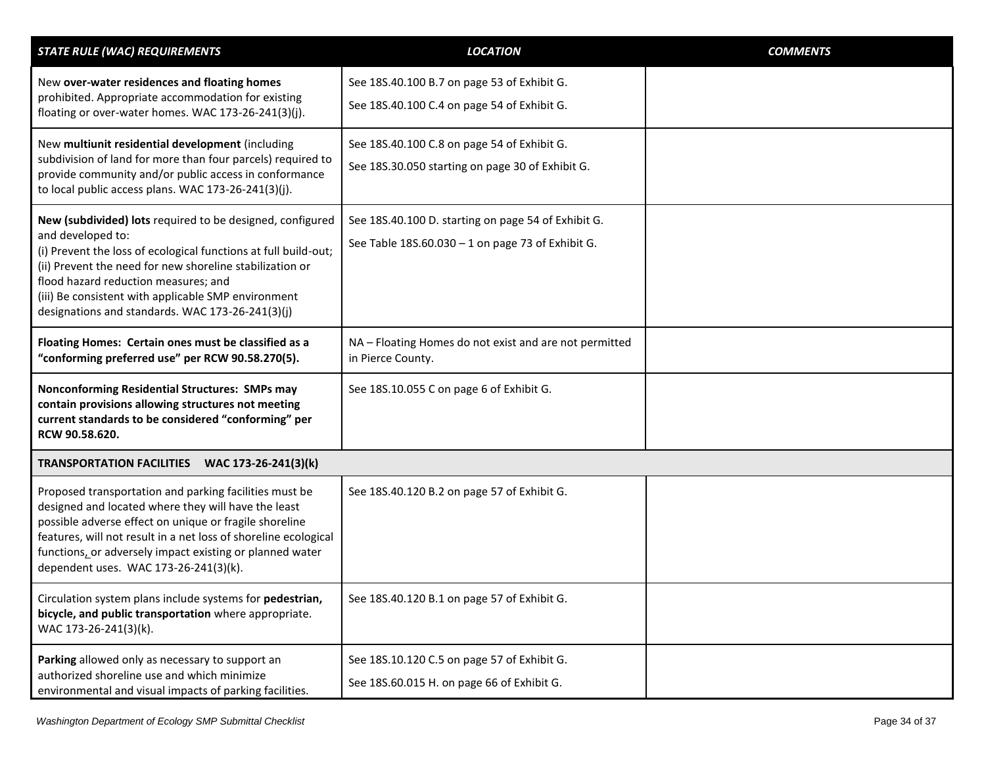<span id="page-33-0"></span>

| <b>STATE RULE (WAC) REQUIREMENTS</b>                                                                                                                                                                                                                                                                                                                             | <b>LOCATION</b>                                                                                          | <b>COMMENTS</b> |
|------------------------------------------------------------------------------------------------------------------------------------------------------------------------------------------------------------------------------------------------------------------------------------------------------------------------------------------------------------------|----------------------------------------------------------------------------------------------------------|-----------------|
| New over-water residences and floating homes<br>prohibited. Appropriate accommodation for existing<br>floating or over-water homes. WAC 173-26-241(3)(j).                                                                                                                                                                                                        | See 18S.40.100 B.7 on page 53 of Exhibit G.<br>See 18S.40.100 C.4 on page 54 of Exhibit G.               |                 |
| New multiunit residential development (including<br>subdivision of land for more than four parcels) required to<br>provide community and/or public access in conformance<br>to local public access plans. WAC 173-26-241(3)(j).                                                                                                                                  | See 18S.40.100 C.8 on page 54 of Exhibit G.<br>See 18S.30.050 starting on page 30 of Exhibit G.          |                 |
| New (subdivided) lots required to be designed, configured<br>and developed to:<br>(i) Prevent the loss of ecological functions at full build-out;<br>(ii) Prevent the need for new shoreline stabilization or<br>flood hazard reduction measures; and<br>(iii) Be consistent with applicable SMP environment<br>designations and standards. WAC 173-26-241(3)(j) | See 18S.40.100 D. starting on page 54 of Exhibit G.<br>See Table 18S.60.030 - 1 on page 73 of Exhibit G. |                 |
| Floating Homes: Certain ones must be classified as a<br>"conforming preferred use" per RCW 90.58.270(5).                                                                                                                                                                                                                                                         | NA - Floating Homes do not exist and are not permitted<br>in Pierce County.                              |                 |
| Nonconforming Residential Structures: SMPs may<br>contain provisions allowing structures not meeting<br>current standards to be considered "conforming" per<br>RCW 90.58.620.                                                                                                                                                                                    | See 18S.10.055 C on page 6 of Exhibit G.                                                                 |                 |
| TRANSPORTATION FACILITIES WAC 173-26-241(3)(k)                                                                                                                                                                                                                                                                                                                   |                                                                                                          |                 |
| Proposed transportation and parking facilities must be<br>designed and located where they will have the least<br>possible adverse effect on unique or fragile shoreline<br>features, will not result in a net loss of shoreline ecological<br>functions, or adversely impact existing or planned water<br>dependent uses. WAC 173-26-241(3)(k).                  | See 18S.40.120 B.2 on page 57 of Exhibit G.                                                              |                 |
| Circulation system plans include systems for pedestrian,<br>bicycle, and public transportation where appropriate.<br>WAC 173-26-241(3)(k).                                                                                                                                                                                                                       | See 18S.40.120 B.1 on page 57 of Exhibit G.                                                              |                 |
| Parking allowed only as necessary to support an<br>authorized shoreline use and which minimize<br>environmental and visual impacts of parking facilities.                                                                                                                                                                                                        | See 18S.10.120 C.5 on page 57 of Exhibit G.<br>See 18S.60.015 H. on page 66 of Exhibit G.                |                 |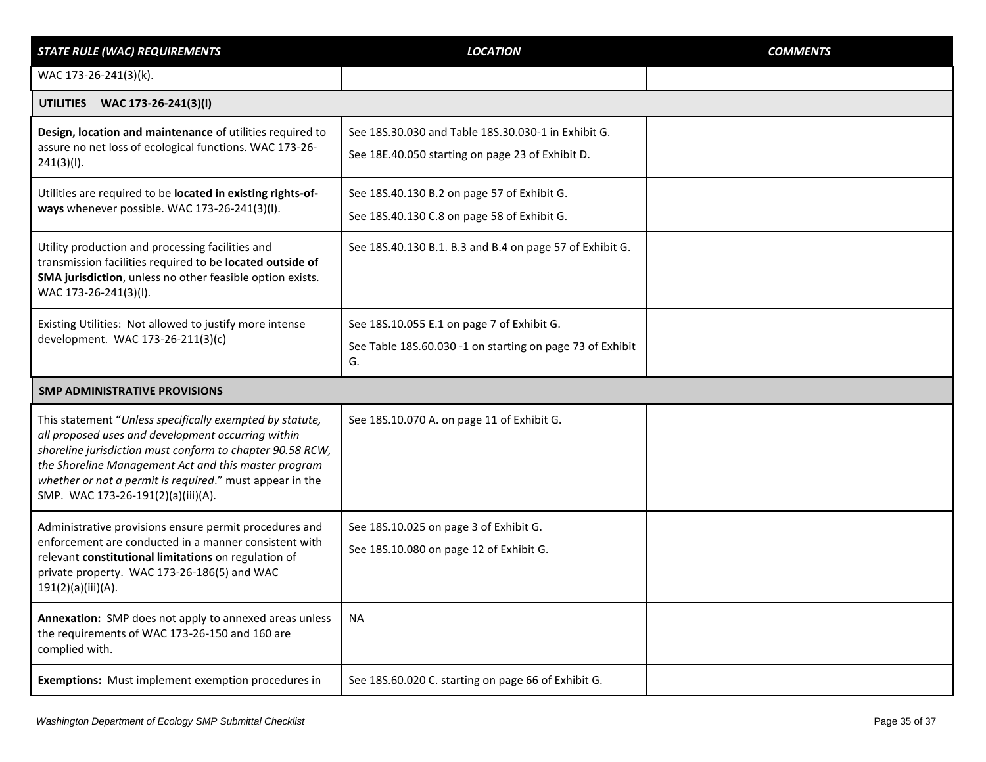<span id="page-34-1"></span><span id="page-34-0"></span>

| <b>STATE RULE (WAC) REQUIREMENTS</b>                                                                                                                                                                                                                                                                                                  | <b>LOCATION</b>                                                                                               | <b>COMMENTS</b> |
|---------------------------------------------------------------------------------------------------------------------------------------------------------------------------------------------------------------------------------------------------------------------------------------------------------------------------------------|---------------------------------------------------------------------------------------------------------------|-----------------|
| WAC 173-26-241(3)(k).                                                                                                                                                                                                                                                                                                                 |                                                                                                               |                 |
| UTILITIES WAC 173-26-241(3)(I)                                                                                                                                                                                                                                                                                                        |                                                                                                               |                 |
| Design, location and maintenance of utilities required to<br>assure no net loss of ecological functions. WAC 173-26-<br>241(3)(I).                                                                                                                                                                                                    | See 185,30,030 and Table 185,30,030-1 in Exhibit G.<br>See 18E.40.050 starting on page 23 of Exhibit D.       |                 |
| Utilities are required to be located in existing rights-of-<br>ways whenever possible. WAC 173-26-241(3)(I).                                                                                                                                                                                                                          | See 18S.40.130 B.2 on page 57 of Exhibit G.<br>See 18S.40.130 C.8 on page 58 of Exhibit G.                    |                 |
| Utility production and processing facilities and<br>transmission facilities required to be located outside of<br>SMA jurisdiction, unless no other feasible option exists.<br>WAC 173-26-241(3)(l).                                                                                                                                   | See 18S.40.130 B.1. B.3 and B.4 on page 57 of Exhibit G.                                                      |                 |
| Existing Utilities: Not allowed to justify more intense<br>development. WAC 173-26-211(3)(c)                                                                                                                                                                                                                                          | See 18S.10.055 E.1 on page 7 of Exhibit G.<br>See Table 18S.60.030 -1 on starting on page 73 of Exhibit<br>G. |                 |
| <b>SMP ADMINISTRATIVE PROVISIONS</b>                                                                                                                                                                                                                                                                                                  |                                                                                                               |                 |
| This statement "Unless specifically exempted by statute,<br>all proposed uses and development occurring within<br>shoreline jurisdiction must conform to chapter 90.58 RCW,<br>the Shoreline Management Act and this master program<br>whether or not a permit is required." must appear in the<br>SMP. WAC 173-26-191(2)(a)(iii)(A). | See 18S.10.070 A. on page 11 of Exhibit G.                                                                    |                 |
| Administrative provisions ensure permit procedures and<br>enforcement are conducted in a manner consistent with<br>relevant constitutional limitations on regulation of<br>private property. WAC 173-26-186(5) and WAC<br>191(2)(a)(iii)(A).                                                                                          | See 18S.10.025 on page 3 of Exhibit G.<br>See 18S.10.080 on page 12 of Exhibit G.                             |                 |
| Annexation: SMP does not apply to annexed areas unless<br>the requirements of WAC 173-26-150 and 160 are<br>complied with.                                                                                                                                                                                                            | <b>NA</b>                                                                                                     |                 |
| <b>Exemptions:</b> Must implement exemption procedures in                                                                                                                                                                                                                                                                             | See 18S.60.020 C. starting on page 66 of Exhibit G.                                                           |                 |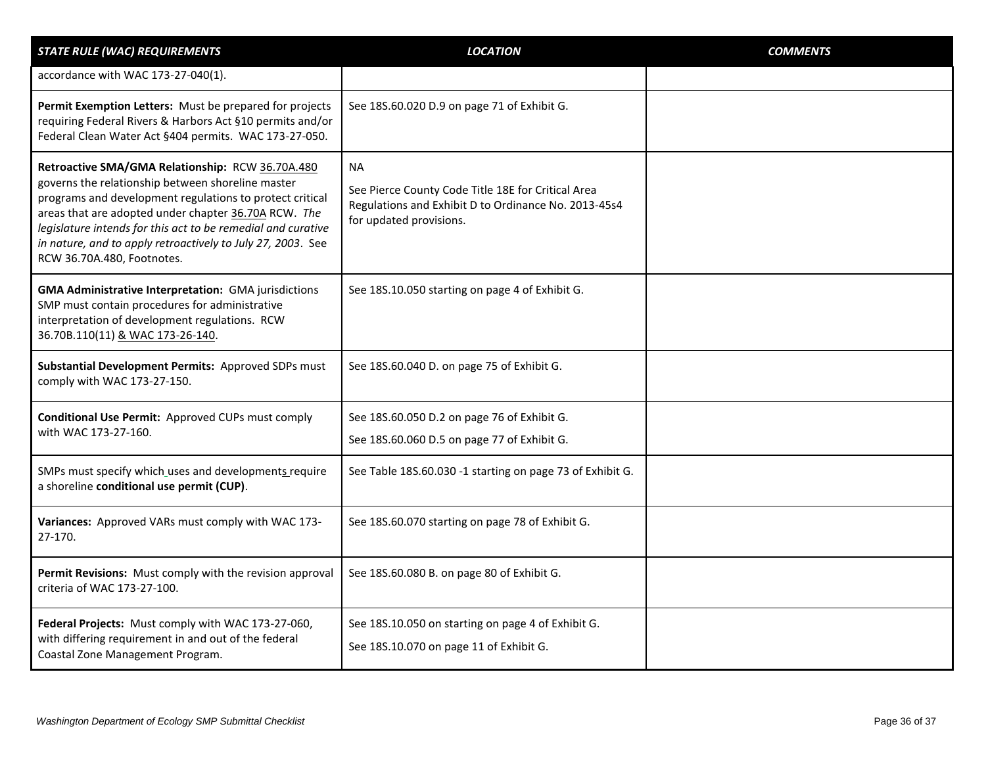| <b>STATE RULE (WAC) REQUIREMENTS</b>                                                                                                                                                                                                                                                                                                                                                   | <b>LOCATION</b>                                                                                                                                    | <b>COMMENTS</b> |
|----------------------------------------------------------------------------------------------------------------------------------------------------------------------------------------------------------------------------------------------------------------------------------------------------------------------------------------------------------------------------------------|----------------------------------------------------------------------------------------------------------------------------------------------------|-----------------|
| accordance with WAC 173-27-040(1).                                                                                                                                                                                                                                                                                                                                                     |                                                                                                                                                    |                 |
| Permit Exemption Letters: Must be prepared for projects<br>requiring Federal Rivers & Harbors Act §10 permits and/or<br>Federal Clean Water Act §404 permits. WAC 173-27-050.                                                                                                                                                                                                          | See 18S.60.020 D.9 on page 71 of Exhibit G.                                                                                                        |                 |
| Retroactive SMA/GMA Relationship: RCW 36.70A.480<br>governs the relationship between shoreline master<br>programs and development regulations to protect critical<br>areas that are adopted under chapter 36.70A RCW. The<br>legislature intends for this act to be remedial and curative<br>in nature, and to apply retroactively to July 27, 2003. See<br>RCW 36.70A.480, Footnotes. | <b>NA</b><br>See Pierce County Code Title 18E for Critical Area<br>Regulations and Exhibit D to Ordinance No. 2013-45s4<br>for updated provisions. |                 |
| <b>GMA Administrative Interpretation: GMA jurisdictions</b><br>SMP must contain procedures for administrative<br>interpretation of development regulations. RCW<br>36.70B.110(11) & WAC 173-26-140.                                                                                                                                                                                    | See 18S.10.050 starting on page 4 of Exhibit G.                                                                                                    |                 |
| Substantial Development Permits: Approved SDPs must<br>comply with WAC 173-27-150.                                                                                                                                                                                                                                                                                                     | See 18S.60.040 D. on page 75 of Exhibit G.                                                                                                         |                 |
| <b>Conditional Use Permit: Approved CUPs must comply</b><br>with WAC 173-27-160.                                                                                                                                                                                                                                                                                                       | See 18S.60.050 D.2 on page 76 of Exhibit G.<br>See 18S.60.060 D.5 on page 77 of Exhibit G.                                                         |                 |
| SMPs must specify which uses and developments require<br>a shoreline conditional use permit (CUP).                                                                                                                                                                                                                                                                                     | See Table 18S.60.030 -1 starting on page 73 of Exhibit G.                                                                                          |                 |
| Variances: Approved VARs must comply with WAC 173-<br>27-170.                                                                                                                                                                                                                                                                                                                          | See 18S.60.070 starting on page 78 of Exhibit G.                                                                                                   |                 |
| Permit Revisions: Must comply with the revision approval<br>criteria of WAC 173-27-100.                                                                                                                                                                                                                                                                                                | See 18S.60.080 B. on page 80 of Exhibit G.                                                                                                         |                 |
| Federal Projects: Must comply with WAC 173-27-060,<br>with differing requirement in and out of the federal<br>Coastal Zone Management Program.                                                                                                                                                                                                                                         | See 18S.10.050 on starting on page 4 of Exhibit G.<br>See 18S.10.070 on page 11 of Exhibit G.                                                      |                 |